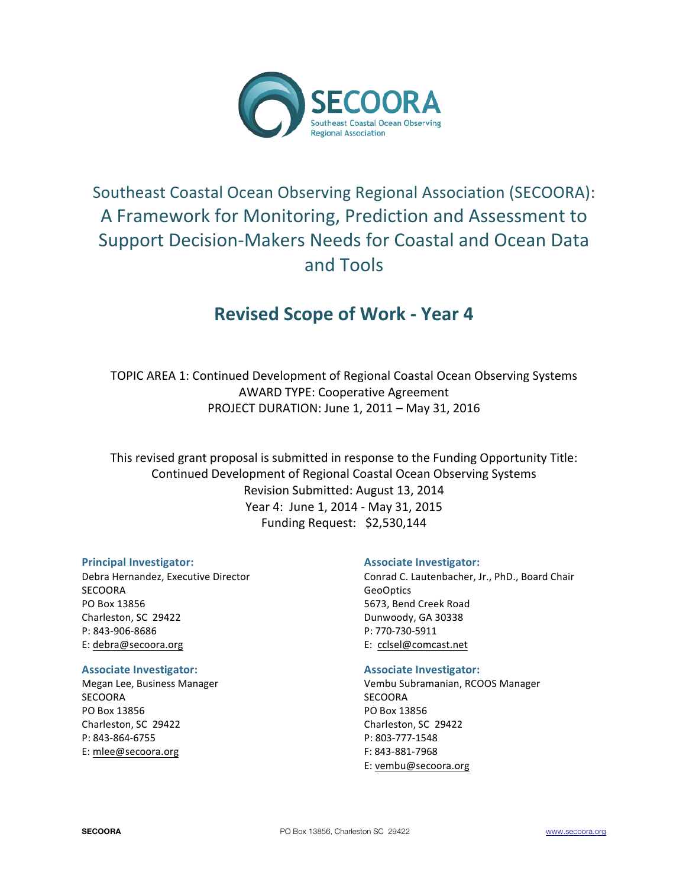

# Southeast Coastal Ocean Observing Regional Association (SECOORA): A Framework for Monitoring, Prediction and Assessment to Support Decision-Makers Needs for Coastal and Ocean Data and Tools

# **Revised Scope of Work - Year 4**

TOPIC AREA 1: Continued Development of Regional Coastal Ocean Observing Systems AWARD TYPE: Cooperative Agreement PROJECT DURATION: June 1, 2011 - May 31, 2016

This revised grant proposal is submitted in response to the Funding Opportunity Title: Continued Development of Regional Coastal Ocean Observing Systems Revision Submitted: August 13, 2014 Year 4: June 1, 2014 - May 31, 2015 Funding Request: \$2,530,144

### **Principal Investigator:**

Debra Hernandez, Executive Director SECOORA PO Box 13856 Charleston, SC 29422 P: 843-906-8686 E: debra@secoora.org

#### **Associate Investigator:**

Megan Lee, Business Manager **SECOORA** PO Box 13856 Charleston, SC 29422 P: 843-864-6755 E: mlee@secoora.org

### **Associate Investigator:**

Conrad C. Lautenbacher, Jr., PhD., Board Chair GeoOptics 5673, Bend Creek Road Dunwoody, GA 30338 P: 770-730-5911 E: cclsel@comcast.net

### **Associate Investigator:**

Vembu Subramanian, RCOOS Manager SECOORA PO Box 13856 Charleston, SC 29422 P: 803-777-1548 F: 843-881-7968 E: vembu@secoora.org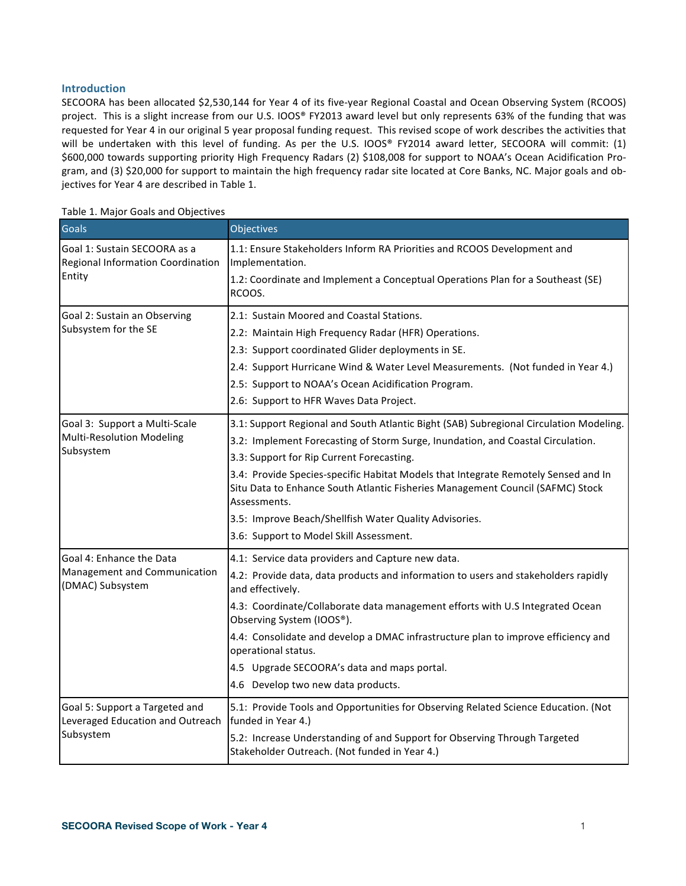### **Introduction**

SECOORA has been allocated \$2,530,144 for Year 4 of its five-year Regional Coastal and Ocean Observing System (RCOOS) project. This is a slight increase from our U.S. IOOS® FY2013 award level but only represents 63% of the funding that was requested for Year 4 in our original 5 year proposal funding request. This revised scope of work describes the activities that will be undertaken with this level of funding. As per the U.S. IOOS® FY2014 award letter, SECOORA will commit:  $(1)$ \$600,000 towards supporting priority High Frequency Radars (2) \$108,008 for support to NOAA's Ocean Acidification Program, and (3) \$20,000 for support to maintain the high frequency radar site located at Core Banks, NC. Major goals and objectives for Year 4 are described in Table 1.

| <b>Goals</b>                                                       | Objectives                                                                                                                                                                           |  |  |  |
|--------------------------------------------------------------------|--------------------------------------------------------------------------------------------------------------------------------------------------------------------------------------|--|--|--|
| Goal 1: Sustain SECOORA as a<br>Regional Information Coordination  | 1.1: Ensure Stakeholders Inform RA Priorities and RCOOS Development and<br>Implementation.                                                                                           |  |  |  |
| Entity                                                             | 1.2: Coordinate and Implement a Conceptual Operations Plan for a Southeast (SE)<br>RCOOS.                                                                                            |  |  |  |
| Goal 2: Sustain an Observing                                       | 2.1: Sustain Moored and Coastal Stations.                                                                                                                                            |  |  |  |
| Subsystem for the SE                                               | 2.2: Maintain High Frequency Radar (HFR) Operations.                                                                                                                                 |  |  |  |
|                                                                    | 2.3: Support coordinated Glider deployments in SE.                                                                                                                                   |  |  |  |
|                                                                    | 2.4: Support Hurricane Wind & Water Level Measurements. (Not funded in Year 4.)                                                                                                      |  |  |  |
|                                                                    | 2.5: Support to NOAA's Ocean Acidification Program.                                                                                                                                  |  |  |  |
|                                                                    | 2.6: Support to HFR Waves Data Project.                                                                                                                                              |  |  |  |
| Goal 3: Support a Multi-Scale                                      | 3.1: Support Regional and South Atlantic Bight (SAB) Subregional Circulation Modeling.                                                                                               |  |  |  |
| <b>Multi-Resolution Modeling</b>                                   | 3.2: Implement Forecasting of Storm Surge, Inundation, and Coastal Circulation.                                                                                                      |  |  |  |
| Subsystem                                                          | 3.3: Support for Rip Current Forecasting.                                                                                                                                            |  |  |  |
|                                                                    | 3.4: Provide Species-specific Habitat Models that Integrate Remotely Sensed and In<br>Situ Data to Enhance South Atlantic Fisheries Management Council (SAFMC) Stock<br>Assessments. |  |  |  |
|                                                                    | 3.5: Improve Beach/Shellfish Water Quality Advisories.                                                                                                                               |  |  |  |
|                                                                    | 3.6: Support to Model Skill Assessment.                                                                                                                                              |  |  |  |
| Goal 4: Enhance the Data                                           | 4.1: Service data providers and Capture new data.                                                                                                                                    |  |  |  |
| Management and Communication<br>(DMAC) Subsystem                   | 4.2: Provide data, data products and information to users and stakeholders rapidly<br>and effectively.                                                                               |  |  |  |
|                                                                    | 4.3: Coordinate/Collaborate data management efforts with U.S Integrated Ocean<br>Observing System (IOOS®).                                                                           |  |  |  |
|                                                                    | 4.4: Consolidate and develop a DMAC infrastructure plan to improve efficiency and<br>operational status.                                                                             |  |  |  |
|                                                                    | 4.5 Upgrade SECOORA's data and maps portal.                                                                                                                                          |  |  |  |
|                                                                    | 4.6 Develop two new data products.                                                                                                                                                   |  |  |  |
| Goal 5: Support a Targeted and<br>Leveraged Education and Outreach | 5.1: Provide Tools and Opportunities for Observing Related Science Education. (Not<br>funded in Year 4.)                                                                             |  |  |  |
| Subsystem                                                          | 5.2: Increase Understanding of and Support for Observing Through Targeted<br>Stakeholder Outreach. (Not funded in Year 4.)                                                           |  |  |  |

#### Table 1. Major Goals and Objectives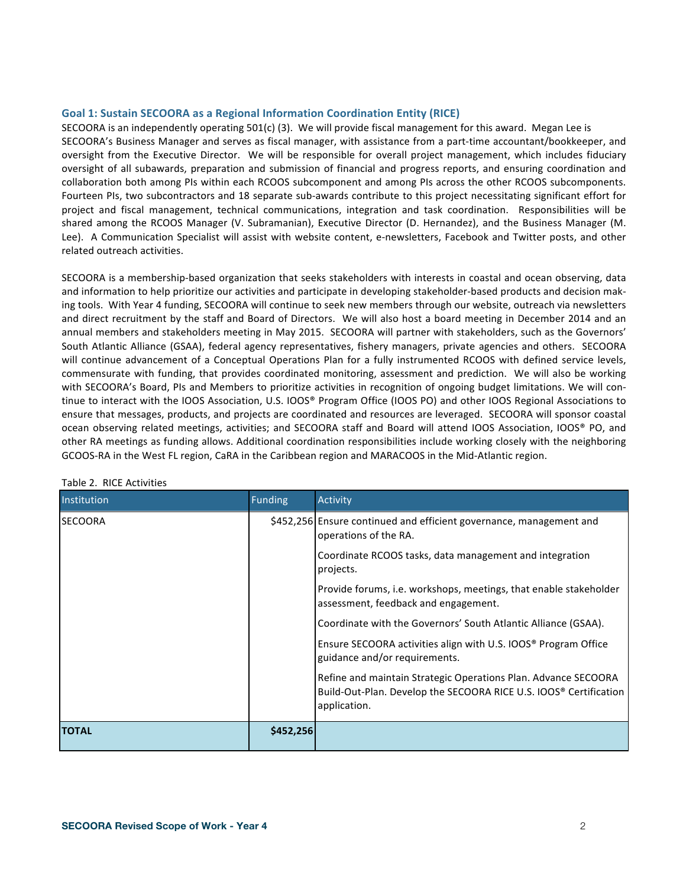#### **Goal 1: Sustain SECOORA as a Regional Information Coordination Entity (RICE)**

SECOORA is an independently operating 501(c) (3). We will provide fiscal management for this award. Megan Lee is SECOORA's Business Manager and serves as fiscal manager, with assistance from a part-time accountant/bookkeeper, and oversight from the Executive Director. We will be responsible for overall project management, which includes fiduciary oversight of all subawards, preparation and submission of financial and progress reports, and ensuring coordination and collaboration both among PIs within each RCOOS subcomponent and among PIs across the other RCOOS subcomponents. Fourteen PIs, two subcontractors and 18 separate sub-awards contribute to this project necessitating significant effort for project and fiscal management, technical communications, integration and task coordination. Responsibilities will be shared among the RCOOS Manager (V. Subramanian), Executive Director (D. Hernandez), and the Business Manager (M. Lee). A Communication Specialist will assist with website content, e-newsletters, Facebook and Twitter posts, and other related outreach activities.

SECOORA is a membership-based organization that seeks stakeholders with interests in coastal and ocean observing, data and information to help prioritize our activities and participate in developing stakeholder-based products and decision making tools. With Year 4 funding, SECOORA will continue to seek new members through our website, outreach via newsletters and direct recruitment by the staff and Board of Directors. We will also host a board meeting in December 2014 and an annual members and stakeholders meeting in May 2015. SECOORA will partner with stakeholders, such as the Governors' South Atlantic Alliance (GSAA), federal agency representatives, fishery managers, private agencies and others. SECOORA will continue advancement of a Conceptual Operations Plan for a fully instrumented RCOOS with defined service levels, commensurate with funding, that provides coordinated monitoring, assessment and prediction. We will also be working with SECOORA's Board, PIs and Members to prioritize activities in recognition of ongoing budget limitations. We will continue to interact with the IOOS Association, U.S. IOOS® Program Office (IOOS PO) and other IOOS Regional Associations to ensure that messages, products, and projects are coordinated and resources are leveraged. SECOORA will sponsor coastal ocean observing related meetings, activities; and SECOORA staff and Board will attend IOOS Association, IOOS® PO, and other RA meetings as funding allows. Additional coordination responsibilities include working closely with the neighboring GCOOS-RA in the West FL region, CaRA in the Caribbean region and MARACOOS in the Mid-Atlantic region.

| Institution    | <b>Funding</b> | <b>Activity</b>                                                                                                                                                 |
|----------------|----------------|-----------------------------------------------------------------------------------------------------------------------------------------------------------------|
| <b>SECOORA</b> |                | \$452,256 Ensure continued and efficient governance, management and<br>operations of the RA.                                                                    |
|                |                | Coordinate RCOOS tasks, data management and integration<br>projects.                                                                                            |
|                |                | Provide forums, i.e. workshops, meetings, that enable stakeholder<br>assessment, feedback and engagement.                                                       |
|                |                | Coordinate with the Governors' South Atlantic Alliance (GSAA).                                                                                                  |
|                |                | Ensure SECOORA activities align with U.S. IOOS <sup>®</sup> Program Office<br>guidance and/or requirements.                                                     |
|                |                | Refine and maintain Strategic Operations Plan. Advance SECOORA<br>Build-Out-Plan. Develop the SECOORA RICE U.S. IOOS <sup>®</sup> Certification<br>application. |
| <b>TOTAL</b>   | \$452,256      |                                                                                                                                                                 |

#### Table 2. RICE Activities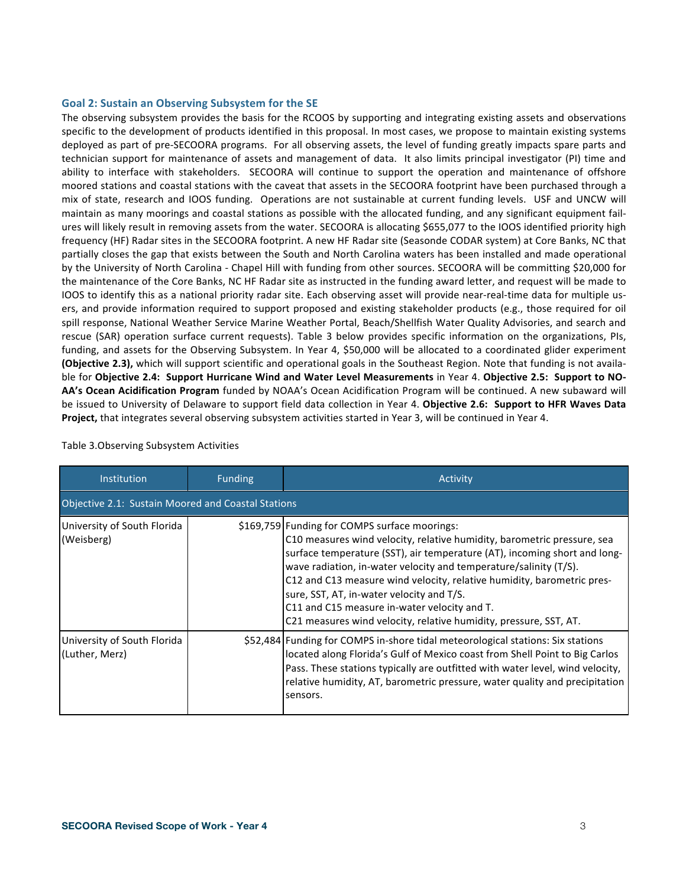#### Goal 2: Sustain an Observing Subsystem for the SE

The observing subsystem provides the basis for the RCOOS by supporting and integrating existing assets and observations specific to the development of products identified in this proposal. In most cases, we propose to maintain existing systems deployed as part of pre-SECOORA programs. For all observing assets, the level of funding greatly impacts spare parts and technician support for maintenance of assets and management of data. It also limits principal investigator (PI) time and ability to interface with stakeholders. SECOORA will continue to support the operation and maintenance of offshore moored stations and coastal stations with the caveat that assets in the SECOORA footprint have been purchased through a mix of state, research and IOOS funding. Operations are not sustainable at current funding levels. USF and UNCW will maintain as many moorings and coastal stations as possible with the allocated funding, and any significant equipment failures will likely result in removing assets from the water. SECOORA is allocating \$655,077 to the IOOS identified priority high frequency (HF) Radar sites in the SECOORA footprint. A new HF Radar site (Seasonde CODAR system) at Core Banks, NC that partially closes the gap that exists between the South and North Carolina waters has been installed and made operational by the University of North Carolina - Chapel Hill with funding from other sources. SECOORA will be committing \$20,000 for the maintenance of the Core Banks, NC HF Radar site as instructed in the funding award letter, and request will be made to IOOS to identify this as a national priority radar site. Each observing asset will provide near-real-time data for multiple users, and provide information required to support proposed and existing stakeholder products (e.g., those required for oil spill response, National Weather Service Marine Weather Portal, Beach/Shellfish Water Quality Advisories, and search and rescue (SAR) operation surface current requests). Table 3 below provides specific information on the organizations, PIs, funding, and assets for the Observing Subsystem. In Year 4, \$50,000 will be allocated to a coordinated glider experiment **(Objective 2.3),** which will support scientific and operational goals in the Southeast Region. Note that funding is not available for Objective 2.4: Support Hurricane Wind and Water Level Measurements in Year 4. Objective 2.5: Support to NO-AA's Ocean Acidification Program funded by NOAA's Ocean Acidification Program will be continued. A new subaward will be issued to University of Delaware to support field data collection in Year 4. Objective 2.6: Support to HFR Waves Data Project, that integrates several observing subsystem activities started in Year 3, will be continued in Year 4.

| Institution                                   | <b>Funding</b>                                     | Activity                                                                                                                                                                                                                                                                                                                                                                                                                                                                                                               |  |  |  |  |  |
|-----------------------------------------------|----------------------------------------------------|------------------------------------------------------------------------------------------------------------------------------------------------------------------------------------------------------------------------------------------------------------------------------------------------------------------------------------------------------------------------------------------------------------------------------------------------------------------------------------------------------------------------|--|--|--|--|--|
|                                               | Objective 2.1: Sustain Moored and Coastal Stations |                                                                                                                                                                                                                                                                                                                                                                                                                                                                                                                        |  |  |  |  |  |
| University of South Florida<br>(Weisberg)     |                                                    | \$169,759 Funding for COMPS surface moorings:<br>C10 measures wind velocity, relative humidity, barometric pressure, sea<br>surface temperature (SST), air temperature (AT), incoming short and long-<br>wave radiation, in-water velocity and temperature/salinity (T/S).<br>C12 and C13 measure wind velocity, relative humidity, barometric pres-<br>sure, SST, AT, in-water velocity and T/S.<br>C11 and C15 measure in-water velocity and T.<br>C21 measures wind velocity, relative humidity, pressure, SST, AT. |  |  |  |  |  |
| University of South Florida<br>(Luther, Merz) |                                                    | \$52,484   Funding for COMPS in-shore tidal meteorological stations: Six stations<br>located along Florida's Gulf of Mexico coast from Shell Point to Big Carlos<br>Pass. These stations typically are outfitted with water level, wind velocity,<br>relative humidity, AT, barometric pressure, water quality and precipitation<br>sensors.                                                                                                                                                                           |  |  |  |  |  |

#### Table 3. Observing Subsystem Activities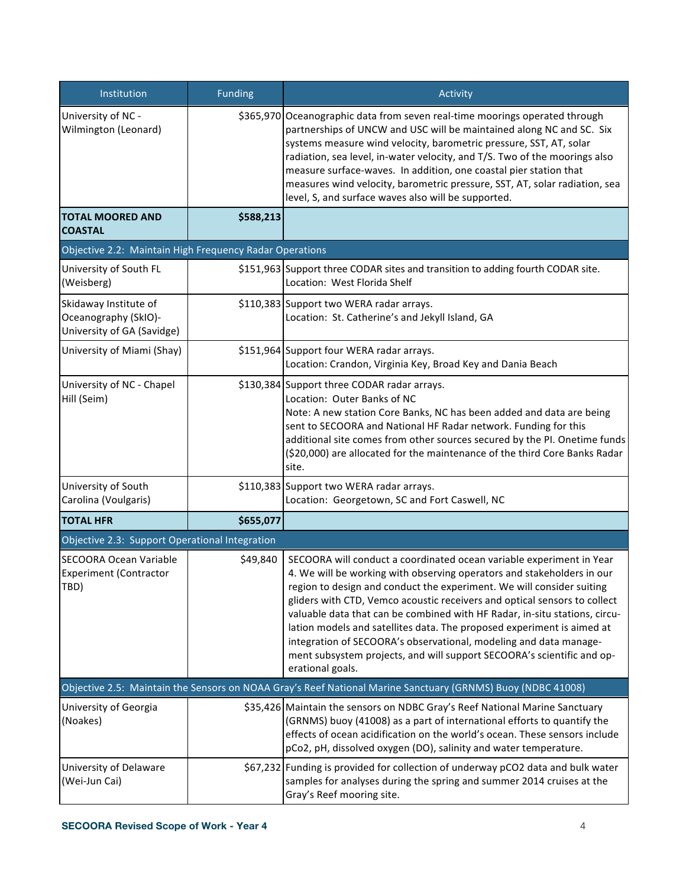| Institution                                                                 | <b>Funding</b> | Activity                                                                                                                                                                                                                                                                                                                                                                                                                                                                                                                                                                                                                        |  |  |
|-----------------------------------------------------------------------------|----------------|---------------------------------------------------------------------------------------------------------------------------------------------------------------------------------------------------------------------------------------------------------------------------------------------------------------------------------------------------------------------------------------------------------------------------------------------------------------------------------------------------------------------------------------------------------------------------------------------------------------------------------|--|--|
| University of NC -<br>Wilmington (Leonard)                                  |                | \$365,970 Oceanographic data from seven real-time moorings operated through<br>partnerships of UNCW and USC will be maintained along NC and SC. Six<br>systems measure wind velocity, barometric pressure, SST, AT, solar<br>radiation, sea level, in-water velocity, and T/S. Two of the moorings also<br>measure surface-waves. In addition, one coastal pier station that<br>measures wind velocity, barometric pressure, SST, AT, solar radiation, sea<br>level, S, and surface waves also will be supported.                                                                                                               |  |  |
| <b>TOTAL MOORED AND</b><br><b>COASTAL</b>                                   | \$588,213      |                                                                                                                                                                                                                                                                                                                                                                                                                                                                                                                                                                                                                                 |  |  |
| Objective 2.2: Maintain High Frequency Radar Operations                     |                |                                                                                                                                                                                                                                                                                                                                                                                                                                                                                                                                                                                                                                 |  |  |
| University of South FL<br>(Weisberg)                                        |                | \$151,963 Support three CODAR sites and transition to adding fourth CODAR site.<br>Location: West Florida Shelf                                                                                                                                                                                                                                                                                                                                                                                                                                                                                                                 |  |  |
| Skidaway Institute of<br>Oceanography (SkIO)-<br>University of GA (Savidge) |                | \$110,383 Support two WERA radar arrays.<br>Location: St. Catherine's and Jekyll Island, GA                                                                                                                                                                                                                                                                                                                                                                                                                                                                                                                                     |  |  |
| University of Miami (Shay)                                                  |                | \$151,964 Support four WERA radar arrays.<br>Location: Crandon, Virginia Key, Broad Key and Dania Beach                                                                                                                                                                                                                                                                                                                                                                                                                                                                                                                         |  |  |
| University of NC - Chapel<br>Hill (Seim)                                    |                | \$130,384 Support three CODAR radar arrays.<br>Location: Outer Banks of NC<br>Note: A new station Core Banks, NC has been added and data are being<br>sent to SECOORA and National HF Radar network. Funding for this<br>additional site comes from other sources secured by the PI. Onetime funds<br>(\$20,000) are allocated for the maintenance of the third Core Banks Radar<br>site.                                                                                                                                                                                                                                       |  |  |
| University of South<br>Carolina (Voulgaris)                                 |                | \$110,383 Support two WERA radar arrays.<br>Location: Georgetown, SC and Fort Caswell, NC                                                                                                                                                                                                                                                                                                                                                                                                                                                                                                                                       |  |  |
| <b>TOTAL HFR</b>                                                            | \$655,077      |                                                                                                                                                                                                                                                                                                                                                                                                                                                                                                                                                                                                                                 |  |  |
| Objective 2.3: Support Operational Integration                              |                |                                                                                                                                                                                                                                                                                                                                                                                                                                                                                                                                                                                                                                 |  |  |
| <b>SECOORA Ocean Variable</b><br><b>Experiment (Contractor</b><br>TBD)      | \$49,840       | SECOORA will conduct a coordinated ocean variable experiment in Year<br>4. We will be working with observing operators and stakeholders in our<br>region to design and conduct the experiment. We will consider suiting<br>gliders with CTD, Vemco acoustic receivers and optical sensors to collect<br>valuable data that can be combined with HF Radar, in-situ stations, circu-<br>lation models and satellites data. The proposed experiment is aimed at<br>integration of SECOORA's observational, modeling and data manage-<br>ment subsystem projects, and will support SECOORA's scientific and op-<br>erational goals. |  |  |
|                                                                             |                | Objective 2.5: Maintain the Sensors on NOAA Gray's Reef National Marine Sanctuary (GRNMS) Buoy (NDBC 41008)                                                                                                                                                                                                                                                                                                                                                                                                                                                                                                                     |  |  |
| University of Georgia<br>(Noakes)                                           |                | \$35,426 Maintain the sensors on NDBC Gray's Reef National Marine Sanctuary<br>(GRNMS) buoy (41008) as a part of international efforts to quantify the<br>effects of ocean acidification on the world's ocean. These sensors include<br>pCo2, pH, dissolved oxygen (DO), salinity and water temperature.                                                                                                                                                                                                                                                                                                                        |  |  |
| University of Delaware<br>(Wei-Jun Cai)                                     |                | \$67,232 Funding is provided for collection of underway pCO2 data and bulk water<br>samples for analyses during the spring and summer 2014 cruises at the<br>Gray's Reef mooring site.                                                                                                                                                                                                                                                                                                                                                                                                                                          |  |  |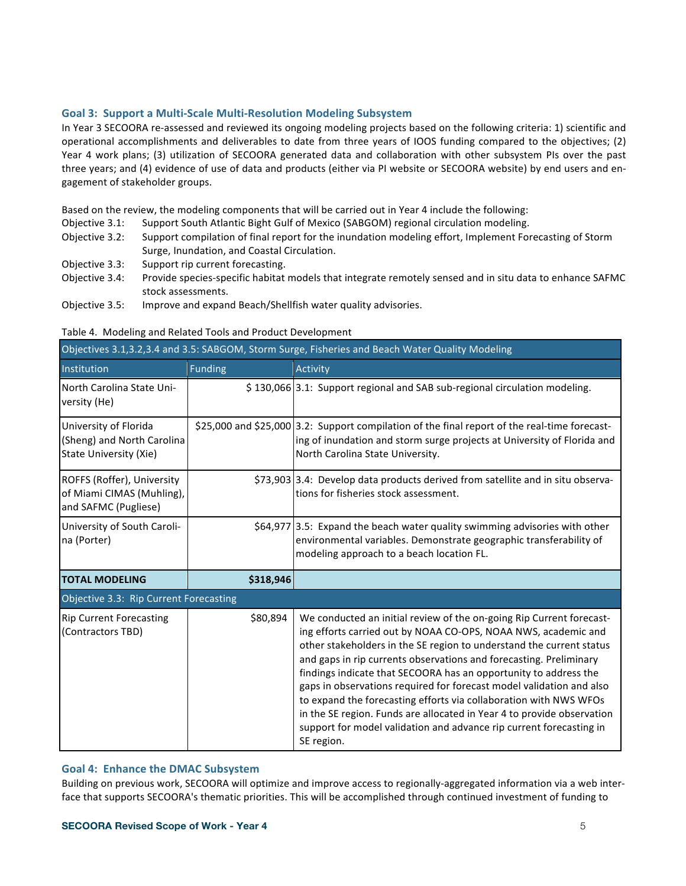#### Goal 3: Support a Multi-Scale Multi-Resolution Modeling Subsystem

In Year 3 SECOORA re-assessed and reviewed its ongoing modeling projects based on the following criteria: 1) scientific and operational accomplishments and deliverables to date from three years of IOOS funding compared to the objectives; (2) Year 4 work plans; (3) utilization of SECOORA generated data and collaboration with other subsystem PIs over the past three years; and (4) evidence of use of data and products (either via PI website or SECOORA website) by end users and engagement of stakeholder groups.

Based on the review, the modeling components that will be carried out in Year 4 include the following:

- Objective 3.1: Support South Atlantic Bight Gulf of Mexico (SABGOM) regional circulation modeling.
- Objective 3.2: Support compilation of final report for the inundation modeling effort, Implement Forecasting of Storm Surge, Inundation, and Coastal Circulation.
- Objective 3.3: Support rip current forecasting.
- Objective 3.4: Provide species-specific habitat models that integrate remotely sensed and in situ data to enhance SAFMC stock assessments.
- Objective 3.5: Improve and expand Beach/Shellfish water quality advisories.

| Objectives 3.1,3.2,3.4 and 3.5: SABGOM, Storm Surge, Fisheries and Beach Water Quality Modeling |                |                                                                                                                                                                                                                                                                                                                                                                                                                                                                                                                                                                                                                                                                      |  |  |  |
|-------------------------------------------------------------------------------------------------|----------------|----------------------------------------------------------------------------------------------------------------------------------------------------------------------------------------------------------------------------------------------------------------------------------------------------------------------------------------------------------------------------------------------------------------------------------------------------------------------------------------------------------------------------------------------------------------------------------------------------------------------------------------------------------------------|--|--|--|
| Institution                                                                                     | <b>Funding</b> | <b>Activity</b>                                                                                                                                                                                                                                                                                                                                                                                                                                                                                                                                                                                                                                                      |  |  |  |
| North Carolina State Uni-<br>versity (He)                                                       |                | \$130,066 3.1: Support regional and SAB sub-regional circulation modeling.                                                                                                                                                                                                                                                                                                                                                                                                                                                                                                                                                                                           |  |  |  |
| University of Florida<br>(Sheng) and North Carolina<br><b>State University (Xie)</b>            |                | \$25,000 and \$25,000 3.2: Support compilation of the final report of the real-time forecast-<br>ing of inundation and storm surge projects at University of Florida and<br>North Carolina State University.                                                                                                                                                                                                                                                                                                                                                                                                                                                         |  |  |  |
| ROFFS (Roffer), University<br>of Miami CIMAS (Muhling),<br>and SAFMC (Pugliese)                 |                | \$73,903 3.4: Develop data products derived from satellite and in situ observa-<br>tions for fisheries stock assessment.                                                                                                                                                                                                                                                                                                                                                                                                                                                                                                                                             |  |  |  |
| University of South Caroli-<br>na (Porter)                                                      |                | \$64,977 3.5: Expand the beach water quality swimming advisories with other<br>environmental variables. Demonstrate geographic transferability of<br>modeling approach to a beach location FL.                                                                                                                                                                                                                                                                                                                                                                                                                                                                       |  |  |  |
| <b>TOTAL MODELING</b>                                                                           | \$318,946      |                                                                                                                                                                                                                                                                                                                                                                                                                                                                                                                                                                                                                                                                      |  |  |  |
| Objective 3.3: Rip Current Forecasting                                                          |                |                                                                                                                                                                                                                                                                                                                                                                                                                                                                                                                                                                                                                                                                      |  |  |  |
| <b>Rip Current Forecasting</b><br>(Contractors TBD)                                             | \$80,894       | We conducted an initial review of the on-going Rip Current forecast-<br>ing efforts carried out by NOAA CO-OPS, NOAA NWS, academic and<br>other stakeholders in the SE region to understand the current status<br>and gaps in rip currents observations and forecasting. Preliminary<br>findings indicate that SECOORA has an opportunity to address the<br>gaps in observations required for forecast model validation and also<br>to expand the forecasting efforts via collaboration with NWS WFOs<br>in the SE region. Funds are allocated in Year 4 to provide observation<br>support for model validation and advance rip current forecasting in<br>SE region. |  |  |  |

#### Table 4. Modeling and Related Tools and Product Development

#### **Goal 4: Enhance the DMAC Subsystem**

Building on previous work, SECOORA will optimize and improve access to regionally-aggregated information via a web interface that supports SECOORA's thematic priorities. This will be accomplished through continued investment of funding to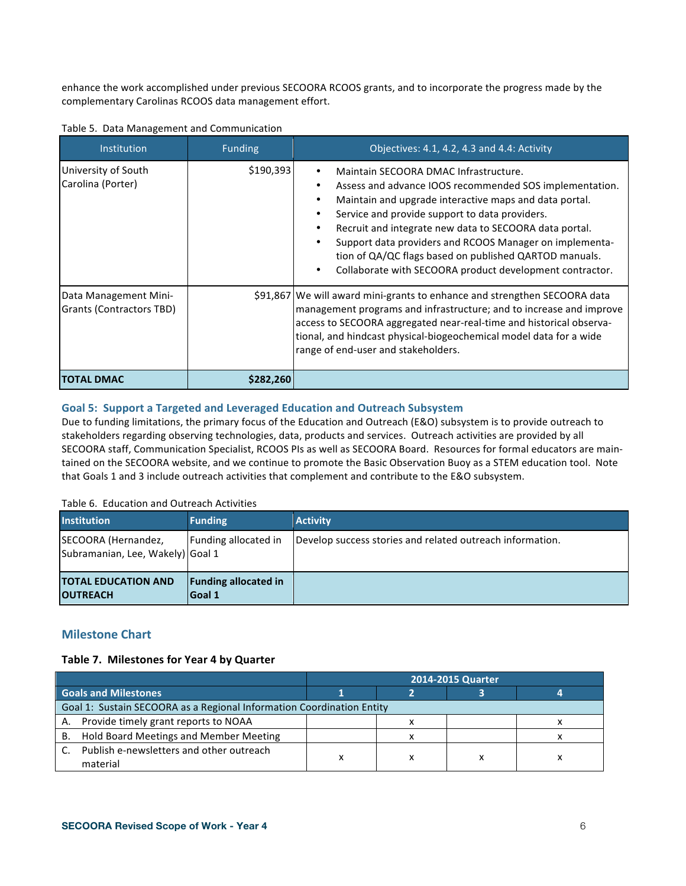enhance the work accomplished under previous SECOORA RCOOS grants, and to incorporate the progress made by the complementary Carolinas RCOOS data management effort.

| Institution                                       | <b>Funding</b> | Objectives: 4.1, 4.2, 4.3 and 4.4: Activity                                                                                                                                                                                                                                                                                                                                                                                                             |
|---------------------------------------------------|----------------|---------------------------------------------------------------------------------------------------------------------------------------------------------------------------------------------------------------------------------------------------------------------------------------------------------------------------------------------------------------------------------------------------------------------------------------------------------|
| University of South<br>Carolina (Porter)          | \$190,393      | Maintain SECOORA DMAC Infrastructure.<br>Assess and advance IOOS recommended SOS implementation.<br>Maintain and upgrade interactive maps and data portal.<br>Service and provide support to data providers.<br>Recruit and integrate new data to SECOORA data portal.<br>Support data providers and RCOOS Manager on implementa-<br>tion of QA/QC flags based on published QARTOD manuals.<br>Collaborate with SECOORA product development contractor. |
| Data Management Mini-<br>Grants (Contractors TBD) |                | \$91,867 We will award mini-grants to enhance and strengthen SECOORA data<br>management programs and infrastructure; and to increase and improve<br>access to SECOORA aggregated near-real-time and historical observa-<br>tional, and hindcast physical-biogeochemical model data for a wide<br>range of end-user and stakeholders.                                                                                                                    |
| <b>TOTAL DMAC</b>                                 | \$282,260      |                                                                                                                                                                                                                                                                                                                                                                                                                                                         |

Table 5. Data Management and Communication

### Goal 5: Support a Targeted and Leveraged Education and Outreach Subsystem

Due to funding limitations, the primary focus of the Education and Outreach (E&O) subsystem is to provide outreach to stakeholders regarding observing technologies, data, products and services. Outreach activities are provided by all SECOORA staff, Communication Specialist, RCOOS PIs as well as SECOORA Board. Resources for formal educators are maintained on the SECOORA website, and we continue to promote the Basic Observation Buoy as a STEM education tool. Note that Goals 1 and 3 include outreach activities that complement and contribute to the E&O subsystem.

### Table 6. Education and Outreach Activities

| <b>Institution</b>                                      | <b>Funding</b>                               | <b>Activity</b>                                           |
|---------------------------------------------------------|----------------------------------------------|-----------------------------------------------------------|
| SECOORA (Hernandez,<br>Subramanian, Lee, Wakely) Goal 1 | Funding allocated in                         | Develop success stories and related outreach information. |
| <b>TOTAL EDUCATION AND</b><br><b>OUTREACH</b>           | <b>Funding allocated in</b><br><b>Goal 1</b> |                                                           |

# **Milestone Chart**

### Table 7. Milestones for Year 4 by Quarter

|                                                                       |  |  | 2014-2015 Quarter |  |
|-----------------------------------------------------------------------|--|--|-------------------|--|
| <b>Goals and Milestones</b>                                           |  |  |                   |  |
| Goal 1: Sustain SECOORA as a Regional Information Coordination Entity |  |  |                   |  |
| A. Provide timely grant reports to NOAA                               |  |  |                   |  |
| Hold Board Meetings and Member Meeting<br>В.                          |  |  |                   |  |
| Publish e-newsletters and other outreach<br>C.<br>material            |  |  |                   |  |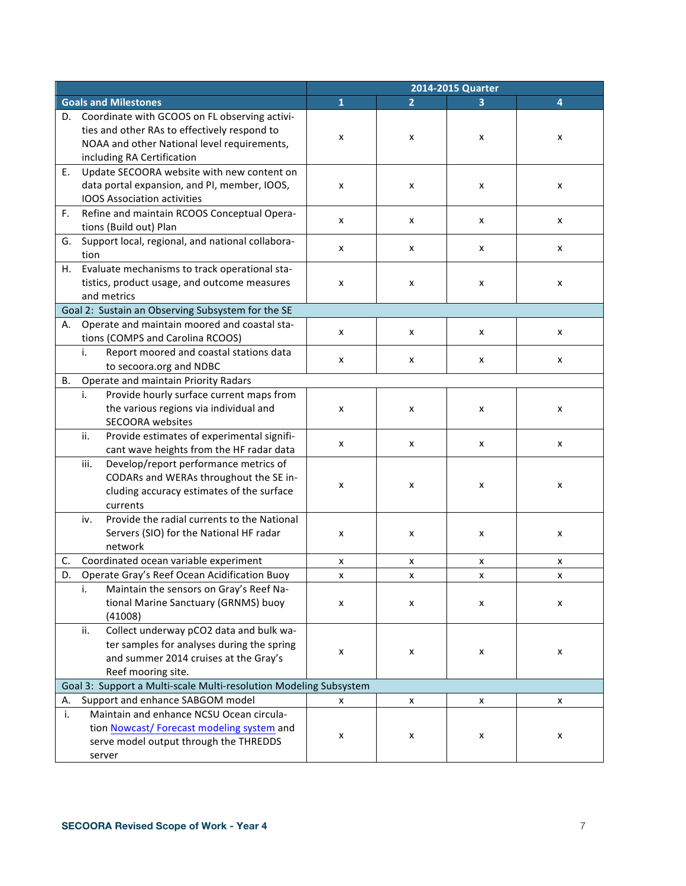|           |                                                                                                                                                                            |                         |                | 2014-2015 Quarter |   |
|-----------|----------------------------------------------------------------------------------------------------------------------------------------------------------------------------|-------------------------|----------------|-------------------|---|
|           | <b>Goals and Milestones</b>                                                                                                                                                | $\overline{\mathbf{1}}$ | $\overline{2}$ |                   | 4 |
| D.        | Coordinate with GCOOS on FL observing activi-<br>ties and other RAs to effectively respond to<br>NOAA and other National level requirements,<br>including RA Certification | x                       | x              | x                 | x |
| Ε.        | Update SECOORA website with new content on<br>data portal expansion, and PI, member, IOOS,<br><b>IOOS Association activities</b>                                           | x                       | x              | x                 | X |
| F.        | Refine and maintain RCOOS Conceptual Opera-<br>tions (Build out) Plan                                                                                                      | x                       | x              | x                 | X |
| G.        | Support local, regional, and national collabora-<br>tion                                                                                                                   | x                       | x              | x                 | x |
| H.        | Evaluate mechanisms to track operational sta-<br>tistics, product usage, and outcome measures<br>and metrics                                                               | x                       | x              | x                 | x |
|           | Goal 2: Sustain an Observing Subsystem for the SE                                                                                                                          |                         |                |                   |   |
| А.        | Operate and maintain moored and coastal sta-<br>tions (COMPS and Carolina RCOOS)                                                                                           | x                       | x              | x                 | X |
|           | i.<br>Report moored and coastal stations data<br>to secoora.org and NDBC                                                                                                   | x                       | x              | x                 | X |
| <b>B.</b> | Operate and maintain Priority Radars                                                                                                                                       |                         |                |                   |   |
|           | Provide hourly surface current maps from<br>i.<br>the various regions via individual and<br><b>SECOORA</b> websites                                                        | x                       | x              | x                 | x |
|           | Provide estimates of experimental signifi-<br>ii.<br>cant wave heights from the HF radar data                                                                              | x                       | X              | x                 | X |
|           | Develop/report performance metrics of<br>iii.<br>CODARs and WERAs throughout the SE in-<br>cluding accuracy estimates of the surface<br>currents                           | x                       | x              | x                 | x |
|           | Provide the radial currents to the National<br>iv.<br>Servers (SIO) for the National HF radar<br>network                                                                   | x                       | x              | x                 | X |
| C.        | Coordinated ocean variable experiment                                                                                                                                      | x                       | x              | x                 | X |
| D.        | Operate Gray's Reef Ocean Acidification Buoy                                                                                                                               | x                       | x              | x                 | X |
|           | Maintain the sensors on Gray's Reef Na-<br>i.<br>tional Marine Sanctuary (GRNMS) buoy<br>(41008)                                                                           | x                       | x              | x                 | x |
|           | Collect underway pCO2 data and bulk wa-<br>ii.<br>ter samples for analyses during the spring<br>and summer 2014 cruises at the Gray's<br>Reef mooring site.                | $\pmb{\times}$          | X              | x                 | x |
|           | Goal 3: Support a Multi-scale Multi-resolution Modeling Subsystem                                                                                                          |                         |                |                   |   |
| А.        | Support and enhance SABGOM model                                                                                                                                           | x                       | X              | X                 | X |
| i.        | Maintain and enhance NCSU Ocean circula-<br>tion Nowcast/Forecast modeling system and<br>serve model output through the THREDDS<br>server                                  | x                       | x              | x                 | x |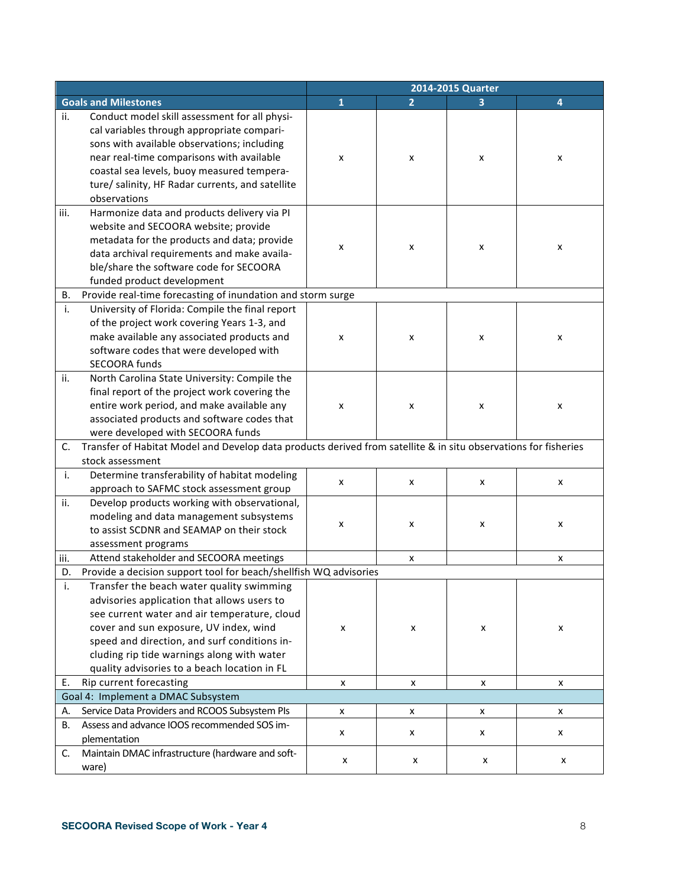|      |                                                                                                                                                                                                                                                                                                                                  | 2014-2015 Quarter |                |   |   |
|------|----------------------------------------------------------------------------------------------------------------------------------------------------------------------------------------------------------------------------------------------------------------------------------------------------------------------------------|-------------------|----------------|---|---|
|      | <b>Goals and Milestones</b>                                                                                                                                                                                                                                                                                                      | $\mathbf{1}$      | $\overline{2}$ |   | 4 |
| ii.  | Conduct model skill assessment for all physi-<br>cal variables through appropriate compari-<br>sons with available observations; including<br>near real-time comparisons with available<br>coastal sea levels, buoy measured tempera-<br>ture/ salinity, HF Radar currents, and satellite<br>observations                        | x                 | x              | x | X |
| iii. | Harmonize data and products delivery via PI<br>website and SECOORA website; provide<br>metadata for the products and data; provide<br>data archival requirements and make availa-<br>ble/share the software code for SECOORA<br>funded product development                                                                       | x                 | x              | x | x |
| В.   | Provide real-time forecasting of inundation and storm surge                                                                                                                                                                                                                                                                      |                   |                |   |   |
| i.   | University of Florida: Compile the final report<br>of the project work covering Years 1-3, and<br>make available any associated products and<br>software codes that were developed with<br>SECOORA funds                                                                                                                         | x                 | x              | x | x |
| ii.  | North Carolina State University: Compile the<br>final report of the project work covering the<br>entire work period, and make available any<br>associated products and software codes that<br>were developed with SECOORA funds                                                                                                  | x                 | x              | x | x |
| C.   | Transfer of Habitat Model and Develop data products derived from satellite & in situ observations for fisheries                                                                                                                                                                                                                  |                   |                |   |   |
|      | stock assessment                                                                                                                                                                                                                                                                                                                 |                   |                |   |   |
| i.   | Determine transferability of habitat modeling<br>approach to SAFMC stock assessment group                                                                                                                                                                                                                                        | x                 | x              | x | x |
| ii.  | Develop products working with observational,<br>modeling and data management subsystems<br>to assist SCDNR and SEAMAP on their stock<br>assessment programs                                                                                                                                                                      | X                 | x              | x | x |
| iii. | Attend stakeholder and SECOORA meetings                                                                                                                                                                                                                                                                                          |                   | x              |   | x |
| D.   | Provide a decision support tool for beach/shellfish WQ advisories                                                                                                                                                                                                                                                                |                   |                |   |   |
| i.   | Transfer the beach water quality swimming<br>advisories application that allows users to<br>see current water and air temperature, cloud<br>cover and sun exposure, UV index, wind<br>speed and direction, and surf conditions in-<br>cluding rip tide warnings along with water<br>quality advisories to a beach location in FL | X                 | x              | X | X |
| E.   | Rip current forecasting                                                                                                                                                                                                                                                                                                          | x                 | X              | x | x |
|      | Goal 4: Implement a DMAC Subsystem                                                                                                                                                                                                                                                                                               |                   |                |   |   |
| А.   | Service Data Providers and RCOOS Subsystem PIs                                                                                                                                                                                                                                                                                   | X                 | x              | x | x |
| В.   | Assess and advance IOOS recommended SOS im-<br>plementation                                                                                                                                                                                                                                                                      | X                 | x              | X | x |
| C.   | Maintain DMAC infrastructure (hardware and soft-<br>ware)                                                                                                                                                                                                                                                                        | x                 | x              | x | x |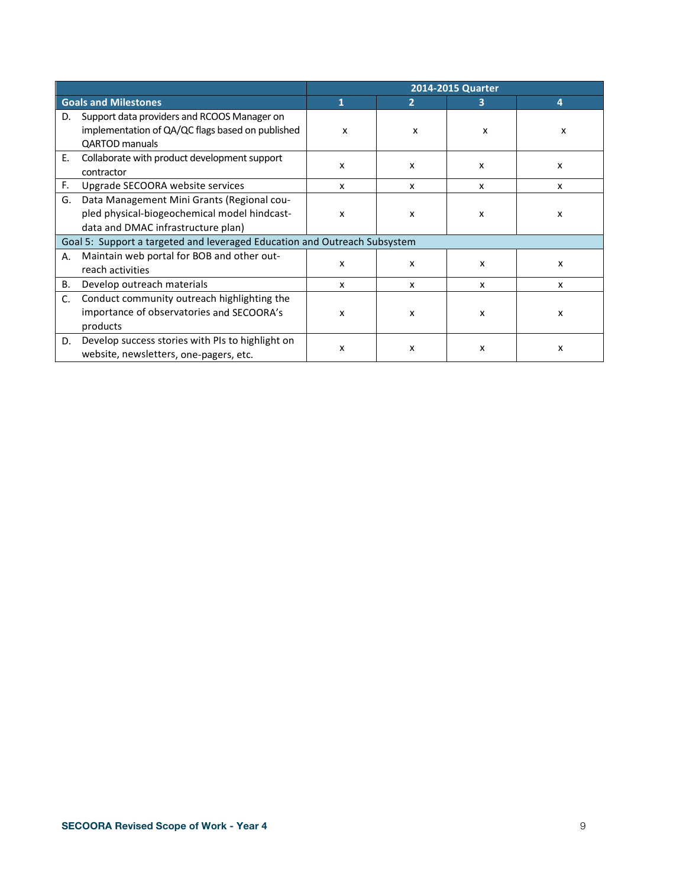|                |                                                                                                                                  |   |   | 2014-2015 Quarter |                           |
|----------------|----------------------------------------------------------------------------------------------------------------------------------|---|---|-------------------|---------------------------|
|                | <b>Goals and Milestones</b>                                                                                                      | 1 | 2 | з                 | 4                         |
| D.             | Support data providers and RCOOS Manager on<br>implementation of QA/QC flags based on published<br><b>QARTOD</b> manuals         | X | x | x                 | x                         |
| E.             | Collaborate with product development support<br>contractor                                                                       | x | x | x                 | x                         |
| F.             | Upgrade SECOORA website services                                                                                                 | x | x | x                 | $\boldsymbol{\mathsf{x}}$ |
| G.             | Data Management Mini Grants (Regional cou-<br>pled physical-biogeochemical model hindcast-<br>data and DMAC infrastructure plan) | x | x | x                 | x                         |
|                | Goal 5: Support a targeted and leveraged Education and Outreach Subsystem                                                        |   |   |                   |                           |
| А.             | Maintain web portal for BOB and other out-<br>reach activities                                                                   | x | x | x                 | x                         |
| В.             | Develop outreach materials                                                                                                       | x | x | X                 | x                         |
| $\mathsf{C}$ . | Conduct community outreach highlighting the<br>importance of observatories and SECOORA's<br>products                             | x | x | x                 | x                         |
| D.             | Develop success stories with PIs to highlight on<br>website, newsletters, one-pagers, etc.                                       | x | x | x                 | x                         |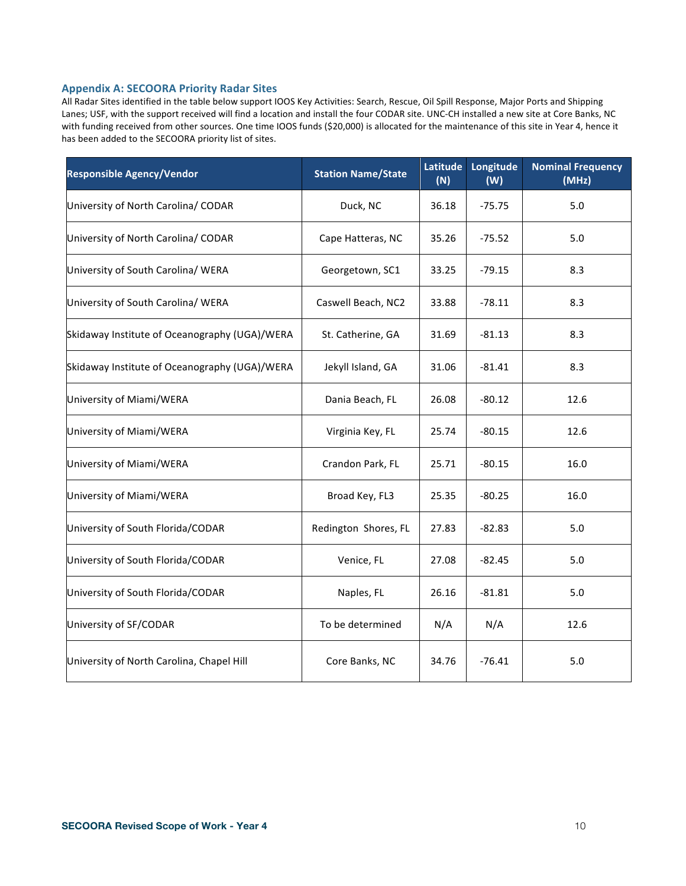#### **Appendix A: SECOORA Priority Radar Sites**

All Radar Sites identified in the table below support IOOS Key Activities: Search, Rescue, Oil Spill Response, Major Ports and Shipping Lanes; USF, with the support received will find a location and install the four CODAR site. UNC-CH installed a new site at Core Banks, NC with funding received from other sources. One time IOOS funds (\$20,000) is allocated for the maintenance of this site in Year 4, hence it has been added to the SECOORA priority list of sites.

| <b>Responsible Agency/Vendor</b>              | <b>Station Name/State</b> | Latitude<br>(N) | Longitude<br>(W) | <b>Nominal Frequency</b><br>(MHz) |
|-----------------------------------------------|---------------------------|-----------------|------------------|-----------------------------------|
| University of North Carolina/ CODAR           | Duck, NC                  | 36.18           | $-75.75$         | 5.0                               |
| University of North Carolina/ CODAR           | Cape Hatteras, NC         | 35.26           | $-75.52$         | 5.0                               |
| University of South Carolina/ WERA            | Georgetown, SC1           | 33.25           | $-79.15$         | 8.3                               |
| University of South Carolina/ WERA            | Caswell Beach, NC2        | 33.88           | $-78.11$         | 8.3                               |
| Skidaway Institute of Oceanography (UGA)/WERA | St. Catherine, GA         | 31.69           | $-81.13$         | 8.3                               |
| Skidaway Institute of Oceanography (UGA)/WERA | Jekyll Island, GA         | 31.06           | $-81.41$         | 8.3                               |
| University of Miami/WERA                      | Dania Beach, FL           | 26.08           | $-80.12$         | 12.6                              |
| University of Miami/WERA                      | Virginia Key, FL          | 25.74           | $-80.15$         | 12.6                              |
| University of Miami/WERA                      | Crandon Park, FL          | 25.71           | $-80.15$         | 16.0                              |
| University of Miami/WERA                      | Broad Key, FL3            | 25.35           | $-80.25$         | 16.0                              |
| University of South Florida/CODAR             | Redington Shores, FL      | 27.83           | $-82.83$         | 5.0                               |
| University of South Florida/CODAR             | Venice, FL                | 27.08           | $-82.45$         | 5.0                               |
| University of South Florida/CODAR             | Naples, FL                | 26.16           | $-81.81$         | 5.0                               |
| University of SF/CODAR                        | To be determined          | N/A             | N/A              | 12.6                              |
| University of North Carolina, Chapel Hill     | Core Banks, NC            | 34.76           | $-76.41$         | 5.0                               |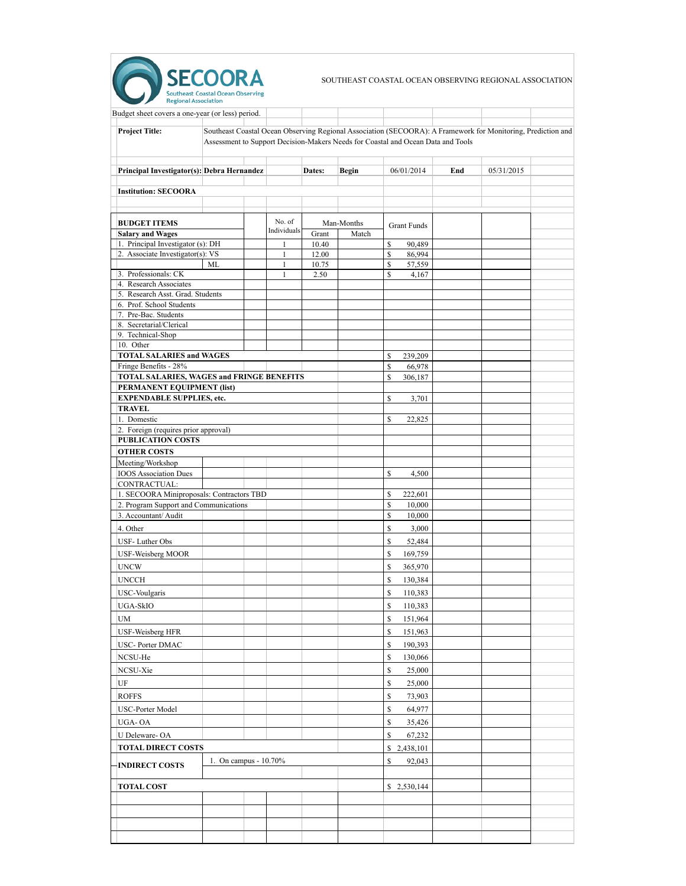

SOUTHEAST COASTAL OCEAN OBSERVING REGIONAL ASSOCIATION

| Budget sheet covers a one-year (or less) period.                               |                                                                                                                                                                                                  |                              |                |              |               |                    |     |            |  |
|--------------------------------------------------------------------------------|--------------------------------------------------------------------------------------------------------------------------------------------------------------------------------------------------|------------------------------|----------------|--------------|---------------|--------------------|-----|------------|--|
| <b>Project Title:</b>                                                          | Southeast Coastal Ocean Observing Regional Association (SECOORA): A Framework for Monitoring, Prediction and<br>Assessment to Support Decision-Makers Needs for Coastal and Ocean Data and Tools |                              |                |              |               |                    |     |            |  |
| Principal Investigator(s): Debra Hernandez                                     |                                                                                                                                                                                                  |                              | Dates:         | <b>Begin</b> |               | 06/01/2014         | End | 05/31/2015 |  |
| <b>Institution: SECOORA</b>                                                    |                                                                                                                                                                                                  |                              |                |              |               |                    |     |            |  |
| <b>BUDGET ITEMS</b>                                                            |                                                                                                                                                                                                  | No. of                       |                | Man-Months   |               | <b>Grant Funds</b> |     |            |  |
| <b>Salary and Wages</b>                                                        |                                                                                                                                                                                                  | Individuals                  | Grant          | Match        |               |                    |     |            |  |
| 1. Principal Investigator (s): DH                                              |                                                                                                                                                                                                  | $\mathbf{1}$                 | 10.40          |              | \$            | 90,489             |     |            |  |
| 2. Associate Investigator(s): VS                                               | <b>ML</b>                                                                                                                                                                                        | $\mathbf{1}$<br>$\mathbf{1}$ | 12.00<br>10.75 |              | \$<br>\$      | 86,994<br>57,559   |     |            |  |
| 3. Professionals: CK                                                           |                                                                                                                                                                                                  | $\mathbf{1}$                 | 2.50           |              | \$            | 4,167              |     |            |  |
| 4. Research Associates                                                         |                                                                                                                                                                                                  |                              |                |              |               |                    |     |            |  |
| 5. Research Asst. Grad. Students                                               |                                                                                                                                                                                                  |                              |                |              |               |                    |     |            |  |
| 6. Prof. School Students<br>7. Pre-Bac. Students                               |                                                                                                                                                                                                  |                              |                |              |               |                    |     |            |  |
| 8. Secretarial/Clerical                                                        |                                                                                                                                                                                                  |                              |                |              |               |                    |     |            |  |
| 9. Technical-Shop                                                              |                                                                                                                                                                                                  |                              |                |              |               |                    |     |            |  |
| 10. Other                                                                      |                                                                                                                                                                                                  |                              |                |              |               |                    |     |            |  |
| <b>TOTAL SALARIES and WAGES</b>                                                |                                                                                                                                                                                                  |                              |                |              | \$            | 239,209            |     |            |  |
| Fringe Benefits - 28%                                                          |                                                                                                                                                                                                  |                              |                |              | $\mathsf{\$}$ | 66,978             |     |            |  |
| <b>TOTAL SALARIES, WAGES and FRINGE BENEFITS</b><br>PERMANENT EQUIPMENT (list) |                                                                                                                                                                                                  |                              |                |              | \$            | 306,187            |     |            |  |
| <b>EXPENDABLE SUPPLIES, etc.</b>                                               |                                                                                                                                                                                                  |                              |                |              | \$            | 3,701              |     |            |  |
| <b>TRAVEL</b>                                                                  |                                                                                                                                                                                                  |                              |                |              |               |                    |     |            |  |
| 1. Domestic                                                                    |                                                                                                                                                                                                  |                              |                |              | \$            | 22,825             |     |            |  |
| 2. Foreign (requires prior approval)                                           |                                                                                                                                                                                                  |                              |                |              |               |                    |     |            |  |
| <b>PUBLICATION COSTS</b>                                                       |                                                                                                                                                                                                  |                              |                |              |               |                    |     |            |  |
| <b>OTHER COSTS</b>                                                             |                                                                                                                                                                                                  |                              |                |              |               |                    |     |            |  |
| Meeting/Workshop                                                               |                                                                                                                                                                                                  |                              |                |              |               |                    |     |            |  |
| <b>IOOS</b> Association Dues                                                   |                                                                                                                                                                                                  |                              |                |              | \$            | 4,500              |     |            |  |
| CONTRACTUAL:<br>1. SECOORA Miniproposals: Contractors TBD                      |                                                                                                                                                                                                  |                              |                |              | \$            | 222,601            |     |            |  |
| 2. Program Support and Communications                                          |                                                                                                                                                                                                  |                              |                |              | \$            | 10,000             |     |            |  |
| 3. Accountant/Audit                                                            |                                                                                                                                                                                                  |                              |                |              | \$            | 10,000             |     |            |  |
| 4. Other                                                                       |                                                                                                                                                                                                  |                              |                |              | \$            | 3,000              |     |            |  |
| USF-Luther Obs                                                                 |                                                                                                                                                                                                  |                              |                |              | \$            | 52,484             |     |            |  |
| <b>USF-Weisberg MOOR</b>                                                       |                                                                                                                                                                                                  |                              |                |              | $\mathbb{S}$  | 169,759            |     |            |  |
| <b>UNCW</b>                                                                    |                                                                                                                                                                                                  |                              |                |              | $\mathbb{S}$  | 365,970            |     |            |  |
| <b>UNCCH</b>                                                                   |                                                                                                                                                                                                  |                              |                |              | $\mathsf{\$}$ |                    |     |            |  |
|                                                                                |                                                                                                                                                                                                  |                              |                |              |               | 130,384            |     |            |  |
| <b>USC-Voulgaris</b>                                                           |                                                                                                                                                                                                  |                              |                |              | $\mathbb S$   | 110,383            |     |            |  |
| <b>UGA-SkIO</b>                                                                |                                                                                                                                                                                                  |                              |                |              | $\mathbb{S}$  | 110,383            |     |            |  |
| <b>UM</b>                                                                      |                                                                                                                                                                                                  |                              |                |              | \$            | 151,964            |     |            |  |
| <b>USF-Weisberg HFR</b>                                                        |                                                                                                                                                                                                  |                              |                |              | \$            | 151,963            |     |            |  |
| <b>USC-Porter DMAC</b>                                                         |                                                                                                                                                                                                  |                              |                |              | $\mathsf{\$}$ | 190,393            |     |            |  |
| NCSU-He                                                                        |                                                                                                                                                                                                  |                              |                |              | \$            | 130,066            |     |            |  |
| NCSU-Xie                                                                       |                                                                                                                                                                                                  |                              |                |              | \$            | 25,000             |     |            |  |
| UF                                                                             |                                                                                                                                                                                                  |                              |                |              | \$            | 25,000             |     |            |  |
| <b>ROFFS</b>                                                                   |                                                                                                                                                                                                  |                              |                |              | \$            | 73,903             |     |            |  |
| <b>USC-Porter Model</b>                                                        |                                                                                                                                                                                                  |                              |                |              | \$            | 64,977             |     |            |  |
| UGA-OA                                                                         |                                                                                                                                                                                                  |                              |                |              | $\mathbb S$   | 35,426             |     |            |  |
| U Deleware-OA                                                                  |                                                                                                                                                                                                  |                              |                |              | $\mathsf{\$}$ | 67,232             |     |            |  |
| <b>TOTAL DIRECT COSTS</b>                                                      |                                                                                                                                                                                                  |                              |                |              |               | \$2,438,101        |     |            |  |
| <b>INDIRECT COSTS</b>                                                          | 1. On campus - 10.70%                                                                                                                                                                            |                              |                |              | \$            | 92,043             |     |            |  |
| <b>TOTAL COST</b>                                                              |                                                                                                                                                                                                  |                              |                |              |               | \$2,530,144        |     |            |  |
|                                                                                |                                                                                                                                                                                                  |                              |                |              |               |                    |     |            |  |
|                                                                                |                                                                                                                                                                                                  |                              |                |              |               |                    |     |            |  |
|                                                                                |                                                                                                                                                                                                  |                              |                |              |               |                    |     |            |  |
|                                                                                |                                                                                                                                                                                                  |                              |                |              |               |                    |     |            |  |
|                                                                                |                                                                                                                                                                                                  |                              |                |              |               |                    |     |            |  |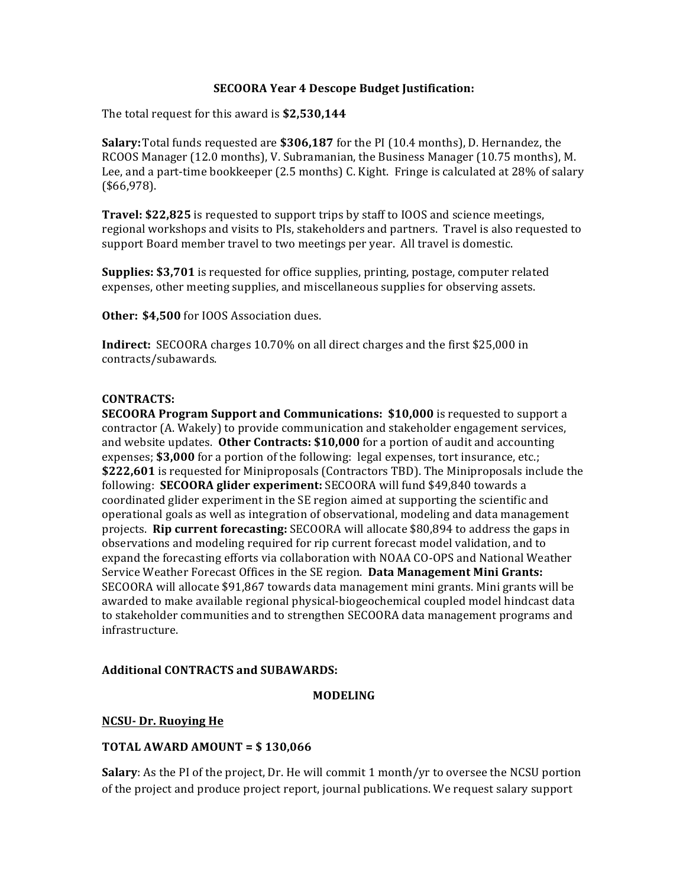### **SECOORA Year 4 Descope Budget Justification:**

The total request for this award is **\$2,530,144** 

**Salary:** Total funds requested are \$306,187 for the PI (10.4 months), D. Hernandez, the RCOOS Manager (12.0 months), V. Subramanian, the Business Manager (10.75 months), M. Lee, and a part-time bookkeeper (2.5 months) C. Kight. Fringe is calculated at 28% of salary (\$66,978).

**Travel: \$22,825** is requested to support trips by staff to IOOS and science meetings, regional workshops and visits to PIs, stakeholders and partners. Travel is also requested to support Board member travel to two meetings per year. All travel is domestic.

**Supplies: \$3,701** is requested for office supplies, printing, postage, computer related expenses, other meeting supplies, and miscellaneous supplies for observing assets.

**Other: \$4,500** for IOOS Association dues.

**Indirect:** SECOORA charges 10.70% on all direct charges and the first \$25,000 in contracts/subawards.

### **CONTRACTS:**

**SECOORA Program Support and Communications: \$10,000** is requested to support a contractor (A. Wakely) to provide communication and stakeholder engagement services, and website updates. Other Contracts: \$10,000 for a portion of audit and accounting expenses;  $$3,000$  for a portion of the following:  $\log$  expenses, tort insurance, etc.; \$222,601 is requested for Miniproposals (Contractors TBD). The Miniproposals include the following: **SECOORA glider experiment:** SECOORA will fund \$49,840 towards a coordinated glider experiment in the SE region aimed at supporting the scientific and operational goals as well as integration of observational, modeling and data management projects. **Rip current forecasting:** SECOORA will allocate \$80,894 to address the gaps in observations and modeling required for rip current forecast model validation, and to expand the forecasting efforts via collaboration with NOAA CO-OPS and National Weather Service Weather Forecast Offices in the SE region. **Data Management Mini Grants:** SECOORA will allocate \$91,867 towards data management mini grants. Mini grants will be awarded to make available regional physical-biogeochemical coupled model hindcast data to stakeholder communities and to strengthen SECOORA data management programs and infrastructure.

## **Additional CONTRACTS and SUBAWARDS:**

### **MODELING**

## **NCSU- Dr. Ruoying He**

## **TOTAL AWARD AMOUNT = \$130,066**

**Salary**: As the PI of the project, Dr. He will commit 1 month/yr to oversee the NCSU portion of the project and produce project report, journal publications. We request salary support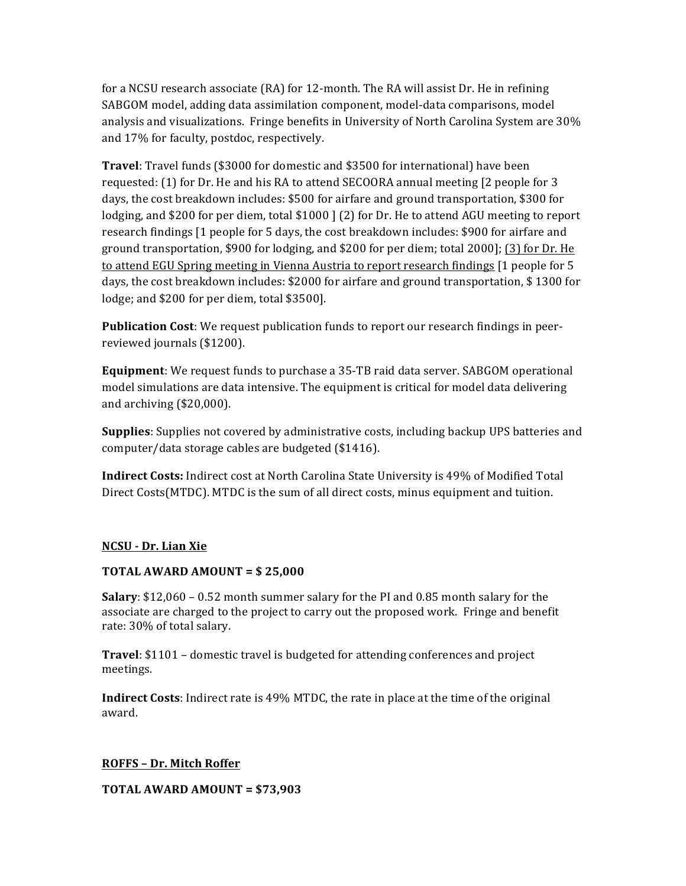for a NCSU research associate  $(RA)$  for 12-month. The RA will assist Dr. He in refining SABGOM model, adding data assimilation component, model-data comparisons, model analysis and visualizations. Fringe benefits in University of North Carolina System are 30% and 17% for faculty, postdoc, respectively.

**Travel**: Travel funds (\$3000 for domestic and \$3500 for international) have been requested:  $(1)$  for Dr. He and his RA to attend SECOORA annual meeting  $[2]$  people for 3 days, the cost breakdown includes: \$500 for airfare and ground transportation, \$300 for lodging, and \$200 for per diem, total  $$1000$  ] (2) for Dr. He to attend AGU meeting to report research findings [1 people for 5 days, the cost breakdown includes: \$900 for airfare and ground transportation, \$900 for lodging, and \$200 for per diem; total  $2000$ ]; (3) for Dr. He to attend EGU Spring meeting in Vienna Austria to report research findings [1 people for 5 days, the cost breakdown includes: \$2000 for airfare and ground transportation, \$1300 for lodge; and \$200 for per diem, total \$3500].

**Publication Cost:** We request publication funds to report our research findings in peerreviewed journals (\$1200).

**Equipment**: We request funds to purchase a 35-TB raid data server. SABGOM operational model simulations are data intensive. The equipment is critical for model data delivering and archiving  $$20,000$ .

**Supplies**: Supplies not covered by administrative costs, including backup UPS batteries and computer/data storage cables are budgeted (\$1416).

**Indirect Costs:** Indirect cost at North Carolina State University is 49% of Modified Total Direct Costs(MTDC). MTDC is the sum of all direct costs, minus equipment and tuition.

## **NCSU - Dr. Lian Xie**

## **TOTAL AWARD AMOUNT = \$ 25,000**

**Salary**: \$12,060 – 0.52 month summer salary for the PI and 0.85 month salary for the associate are charged to the project to carry out the proposed work. Fringe and benefit rate: 30% of total salary.

**Travel**: \$1101 – domestic travel is budgeted for attending conferences and project meetings.

**Indirect Costs**: Indirect rate is 49% MTDC, the rate in place at the time of the original award.

## **ROFFS – Dr. Mitch Roffer**

**TOTAL AWARD AMOUNT =**  $$73,903$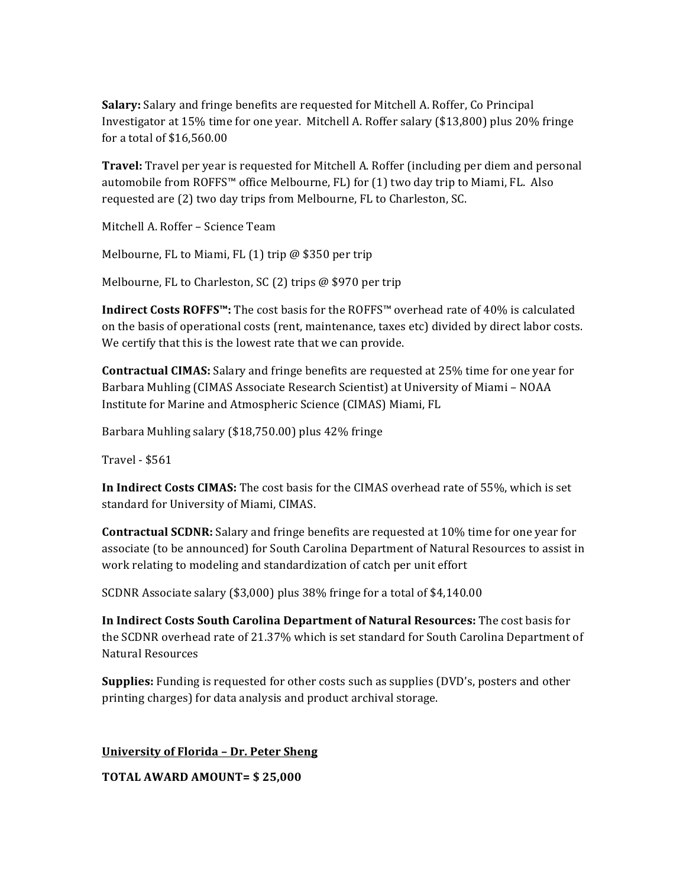**Salary:** Salary and fringe benefits are requested for Mitchell A. Roffer, Co Principal Investigator at 15% time for one year. Mitchell A. Roffer salary (\$13,800) plus 20% fringe for a total of \$16,560.00

**Travel:** Travel per year is requested for Mitchell A. Roffer (including per diem and personal automobile from ROFFS<sup>™</sup> office Melbourne, FL) for  $(1)$  two day trip to Miami, FL. Also requested are (2) two day trips from Melbourne, FL to Charleston, SC.

Mitchell A. Roffer - Science Team

Melbourne, FL to Miami, FL  $(1)$  trip @ \$350 per trip

Melbourne, FL to Charleston, SC (2) trips  $@$  \$970 per trip

**Indirect Costs ROFFS™:** The cost basis for the ROFFS™ overhead rate of 40% is calculated on the basis of operational costs (rent, maintenance, taxes etc) divided by direct labor costs. We certify that this is the lowest rate that we can provide.

**Contractual CIMAS:** Salary and fringe benefits are requested at 25% time for one year for Barbara Muhling (CIMAS Associate Research Scientist) at University of Miami - NOAA Institute for Marine and Atmospheric Science (CIMAS) Miami, FL

Barbara Muhling salary  $(\$18,750.00)$  plus  $42\%$  fringe

Travel - \$561

**In Indirect Costs CIMAS:** The cost basis for the CIMAS overhead rate of 55%, which is set standard for University of Miami, CIMAS.

**Contractual SCDNR:** Salary and fringe benefits are requested at 10% time for one year for associate (to be announced) for South Carolina Department of Natural Resources to assist in work relating to modeling and standardization of catch per unit effort

SCDNR Associate salary (\$3,000) plus 38% fringe for a total of \$4,140.00

**In Indirect Costs South Carolina Department of Natural Resources:** The cost basis for the SCDNR overhead rate of 21.37% which is set standard for South Carolina Department of Natural Resources

**Supplies:** Funding is requested for other costs such as supplies (DVD's, posters and other printing charges) for data analysis and product archival storage.

**University of Florida - Dr. Peter Sheng** 

**TOTAL AWARD AMOUNT= \$ 25,000**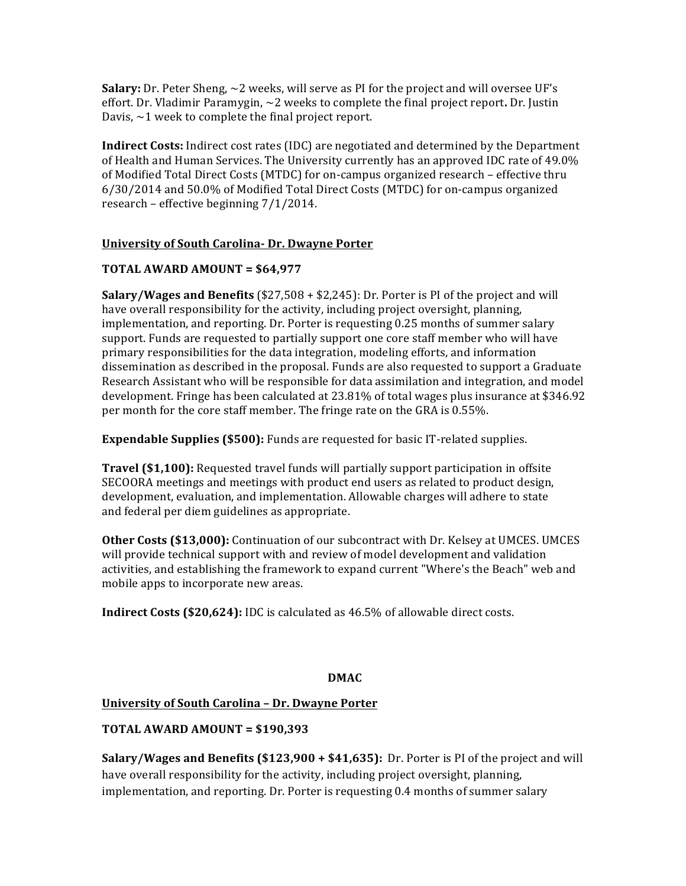**Salary:** Dr. Peter Sheng,  $\sim$  2 weeks, will serve as PI for the project and will oversee UF's effort. Dr. Vladimir Paramygin,  $\sim$  2 weeks to complete the final project report. Dr. Justin Davis,  $\sim$  1 week to complete the final project report.

**Indirect Costs:** Indirect cost rates (IDC) are negotiated and determined by the Department of Health and Human Services. The University currently has an approved IDC rate of 49.0% of Modified Total Direct Costs (MTDC) for on-campus organized research – effective thru  $6/30/2014$  and  $50.0\%$  of Modified Total Direct Costs (MTDC) for on-campus organized research – effective beginning  $7/1/2014$ .

# **University of South Carolina- Dr. Dwayne Porter**

# **TOTAL AWARD AMOUNT = \$64,977**

**Salary/Wages and Benefits** (\$27,508 + \$2,245): Dr. Porter is PI of the project and will have overall responsibility for the activity, including project oversight, planning, implementation, and reporting. Dr. Porter is requesting 0.25 months of summer salary support. Funds are requested to partially support one core staff member who will have primary responsibilities for the data integration, modeling efforts, and information dissemination as described in the proposal. Funds are also requested to support a Graduate Research Assistant who will be responsible for data assimilation and integration, and model development. Fringe has been calculated at  $23.81\%$  of total wages plus insurance at \$346.92 per month for the core staff member. The fringe rate on the GRA is 0.55%.

**Expendable Supplies (\$500):** Funds are requested for basic IT-related supplies.

**Travel (\$1,100):** Requested travel funds will partially support participation in offsite SECOORA meetings and meetings with product end users as related to product design, development, evaluation, and implementation. Allowable charges will adhere to state and federal per diem guidelines as appropriate.

**Other Costs (\$13,000):** Continuation of our subcontract with Dr. Kelsey at UMCES. UMCES will provide technical support with and review of model development and validation activities, and establishing the framework to expand current "Where's the Beach" web and mobile apps to incorporate new areas.

**Indirect Costs (\$20,624):** IDC is calculated as 46.5% of allowable direct costs.

# **DMAC**

# **University of South Carolina – Dr. Dwayne Porter**

# **TOTAL AWARD AMOUNT = \$190,393**

**Salary/Wages and Benefits (\$123,900 + \$41,635):** Dr. Porter is PI of the project and will have overall responsibility for the activity, including project oversight, planning, implementation, and reporting. Dr. Porter is requesting 0.4 months of summer salary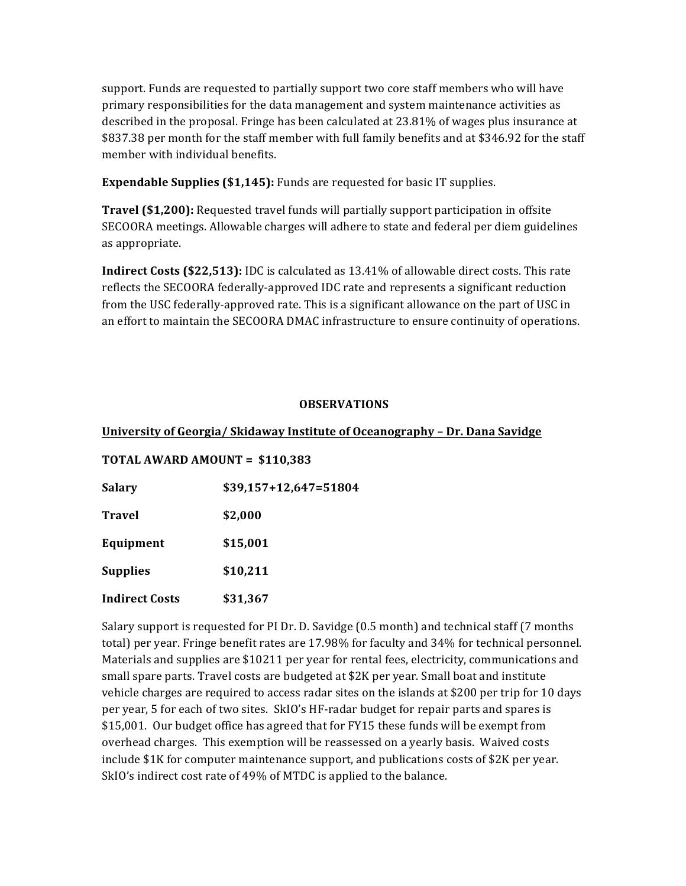support. Funds are requested to partially support two core staff members who will have primary responsibilities for the data management and system maintenance activities as described in the proposal. Fringe has been calculated at 23.81% of wages plus insurance at \$837.38 per month for the staff member with full family benefits and at \$346.92 for the staff member with individual benefits.

**Expendable Supplies (\$1,145):** Funds are requested for basic IT supplies.

**Travel (\$1,200):** Requested travel funds will partially support participation in offsite SECOORA meetings. Allowable charges will adhere to state and federal per diem guidelines as appropriate.

**Indirect Costs (\$22,513):** IDC is calculated as 13.41% of allowable direct costs. This rate reflects the SECOORA federally-approved IDC rate and represents a significant reduction from the USC federally-approved rate. This is a significant allowance on the part of USC in an effort to maintain the SECOORA DMAC infrastructure to ensure continuity of operations.

# **OBSERVATIONS**

# **University of Georgia/ Skidaway Institute of Oceanography - Dr. Dana Savidge**

## **TOTAL AWARD AMOUNT = \$110,383**

| <b>Salary</b>         | $$39,157+12,647=51804$ |
|-----------------------|------------------------|
| <b>Travel</b>         | \$2,000                |
| Equipment             | \$15,001               |
| <b>Supplies</b>       | \$10,211               |
| <b>Indirect Costs</b> | \$31,367               |

Salary support is requested for PI Dr. D. Savidge (0.5 month) and technical staff (7 months total) per year. Fringe benefit rates are 17.98% for faculty and 34% for technical personnel. Materials and supplies are \$10211 per year for rental fees, electricity, communications and small spare parts. Travel costs are budgeted at \$2K per year. Small boat and institute vehicle charges are required to access radar sites on the islands at \$200 per trip for 10 days per year, 5 for each of two sites. SkIO's HF-radar budget for repair parts and spares is \$15,001. Our budget office has agreed that for FY15 these funds will be exempt from overhead charges. This exemption will be reassessed on a yearly basis. Waived costs include  $$1K$  for computer maintenance support, and publications costs of  $$2K$  per year. SkIO's indirect cost rate of 49% of MTDC is applied to the balance.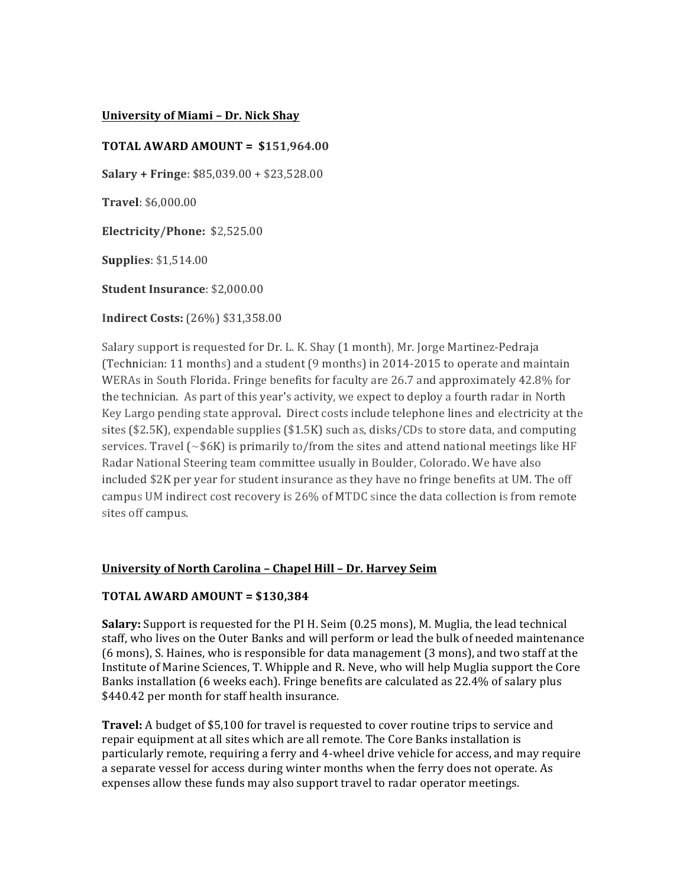## **University of Miami - Dr. Nick Shay**

# **TOTAL AWARD AMOUNT = \$151,964.00**

**Salary + Fringe**: \$85,039.00 + \$23,528.00

**Travel**: \$6,000.00

**Electricity/Phone:**  \$2,525.00

**Supplies**: \$1,514.00

**Student Insurance: \$2,000.00** 

**Indirect Costs:** (26%) \$31,358.00

Salary support is requested for Dr. L. K. Shay (1 month), Mr. Jorge Martinez-Pedraja (Technician: 11 months) and a student (9 months) in 2014-2015 to operate and maintain WERAs in South Florida. Fringe benefits for faculty are  $26.7$  and approximately  $42.8\%$  for the technician. As part of this year's activity, we expect to deploy a fourth radar in North Key Largo pending state approval. Direct costs include telephone lines and electricity at the sites  $(\$2.5K)$ , expendable supplies  $(\$1.5K)$  such as, disks/CDs to store data, and computing services. Travel  $\sim$  \$6K) is primarily to/from the sites and attend national meetings like HF Radar National Steering team committee usually in Boulder, Colorado. We have also included \$2K per year for student insurance as they have no fringe benefits at UM. The off campus UM indirect cost recovery is  $26\%$  of MTDC since the data collection is from remote sites off campus.

## **University of North Carolina – Chapel Hill – Dr. Harvey Seim**

# **TOTAL AWARD AMOUNT = \$130,384**

**Salary:** Support is requested for the PI H. Seim (0.25 mons), M. Muglia, the lead technical staff, who lives on the Outer Banks and will perform or lead the bulk of needed maintenance (6 mons), S. Haines, who is responsible for data management (3 mons), and two staff at the Institute of Marine Sciences, T. Whipple and R. Neve, who will help Muglia support the Core Banks installation (6 weeks each). Fringe benefits are calculated as 22.4% of salary plus \$440.42 per month for staff health insurance.

**Travel:** A budget of \$5,100 for travel is requested to cover routine trips to service and repair equipment at all sites which are all remote. The Core Banks installation is particularly remote, requiring a ferry and 4-wheel drive vehicle for access, and may require a separate vessel for access during winter months when the ferry does not operate. As expenses allow these funds may also support travel to radar operator meetings.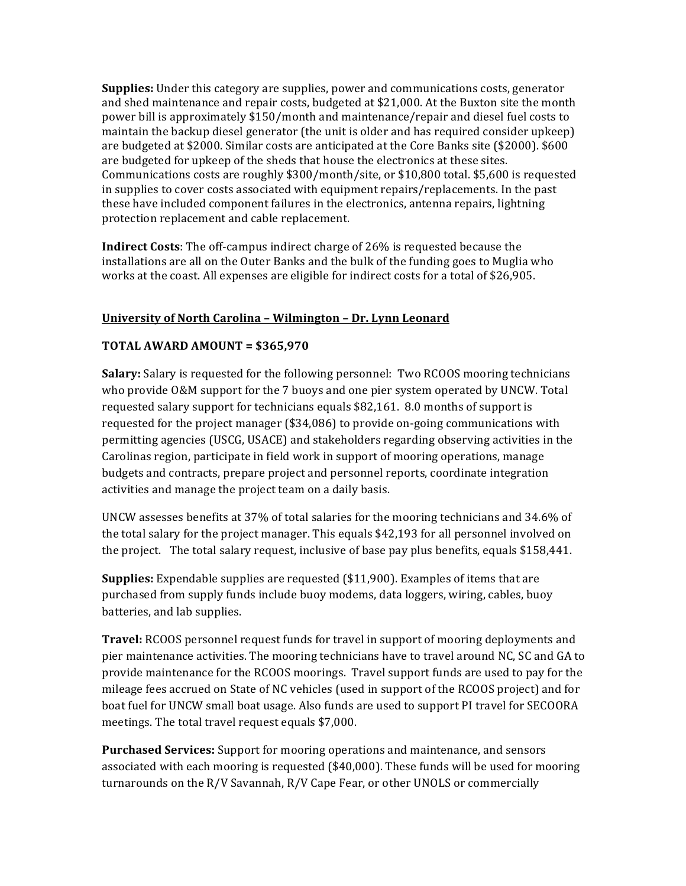**Supplies:** Under this category are supplies, power and communications costs, generator and shed maintenance and repair costs, budgeted at  $$21,000$ . At the Buxton site the month power bill is approximately \$150/month and maintenance/repair and diesel fuel costs to maintain the backup diesel generator (the unit is older and has required consider upkeep) are budgeted at \$2000. Similar costs are anticipated at the Core Banks site  $(\$2000)$ . \$600 are budgeted for upkeep of the sheds that house the electronics at these sites. Communications costs are roughly  $$300/month/site$ , or  $$10,800$  total. \$5,600 is requested in supplies to cover costs associated with equipment repairs/replacements. In the past these have included component failures in the electronics, antenna repairs, lightning protection replacement and cable replacement.

**Indirect Costs**: The off-campus indirect charge of 26% is requested because the installations are all on the Outer Banks and the bulk of the funding goes to Muglia who works at the coast. All expenses are eligible for indirect costs for a total of \$26,905.

# **University of North Carolina - Wilmington - Dr. Lynn Leonard**

# **TOTAL AWARD AMOUNT = \$365,970**

**Salary:** Salary is requested for the following personnel: Two RCOOS mooring technicians who provide O&M support for the 7 buoys and one pier system operated by UNCW. Total requested salary support for technicians equals \$82,161. 8.0 months of support is requested for the project manager  $(\$34,086)$  to provide on-going communications with permitting agencies (USCG, USACE) and stakeholders regarding observing activities in the Carolinas region, participate in field work in support of mooring operations, manage budgets and contracts, prepare project and personnel reports, coordinate integration activities and manage the project team on a daily basis.

UNCW assesses benefits at 37% of total salaries for the mooring technicians and 34.6% of the total salary for the project manager. This equals \$42,193 for all personnel involved on the project. The total salary request, inclusive of base pay plus benefits, equals \$158,441.

**Supplies:** Expendable supplies are requested (\$11,900). Examples of items that are purchased from supply funds include buoy modems, data loggers, wiring, cables, buoy batteries, and lab supplies.

**Travel:** RCOOS personnel request funds for travel in support of mooring deployments and pier maintenance activities. The mooring technicians have to travel around NC, SC and GA to provide maintenance for the RCOOS moorings. Travel support funds are used to pay for the mileage fees accrued on State of NC vehicles (used in support of the RCOOS project) and for boat fuel for UNCW small boat usage. Also funds are used to support PI travel for SECOORA meetings. The total travel request equals \$7,000.

**Purchased Services:** Support for mooring operations and maintenance, and sensors associated with each mooring is requested  $(\$40,000)$ . These funds will be used for mooring turnarounds on the R/V Savannah, R/V Cape Fear, or other UNOLS or commercially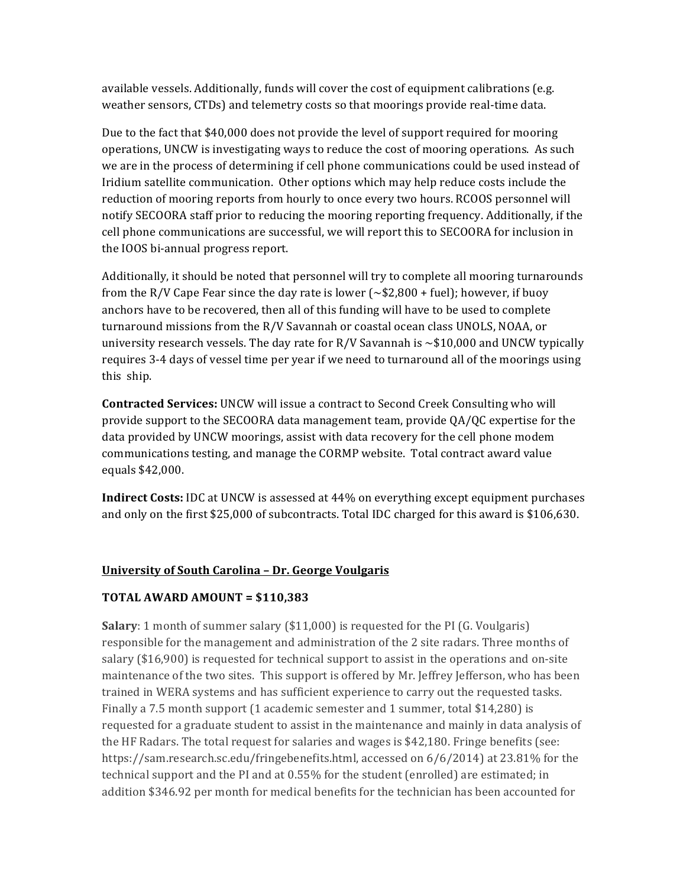available vessels. Additionally, funds will cover the cost of equipment calibrations (e.g. weather sensors, CTDs) and telemetry costs so that moorings provide real-time data.

Due to the fact that \$40,000 does not provide the level of support required for mooring operations, UNCW is investigating ways to reduce the cost of mooring operations. As such we are in the process of determining if cell phone communications could be used instead of Iridium satellite communication. Other options which may help reduce costs include the reduction of mooring reports from hourly to once every two hours. RCOOS personnel will notify SECOORA staff prior to reducing the mooring reporting frequency. Additionally, if the cell phone communications are successful, we will report this to SECOORA for inclusion in the IOOS bi-annual progress report.

Additionally, it should be noted that personnel will try to complete all mooring turnarounds from the R/V Cape Fear since the day rate is lower ( $\sim$ \$2,800 + fuel); however, if buoy anchors have to be recovered, then all of this funding will have to be used to complete turnaround missions from the R/V Savannah or coastal ocean class UNOLS, NOAA, or university research vessels. The day rate for R/V Savannah is  $\sim$ \$10,000 and UNCW typically requires 3-4 days of vessel time per year if we need to turnaround all of the moorings using this ship.

**Contracted Services:** UNCW will issue a contract to Second Creek Consulting who will provide support to the SECOORA data management team, provide  $QA/QC$  expertise for the data provided by UNCW moorings, assist with data recovery for the cell phone modem communications testing, and manage the CORMP website. Total contract award value equals \$42,000.

**Indirect Costs:** IDC at UNCW is assessed at 44% on everything except equipment purchases and only on the first  $$25,000$  of subcontracts. Total IDC charged for this award is  $$106,630$ .

# **University of South Carolina – Dr. George Voulgaris**

# **TOTAL AWARD AMOUNT = \$110,383**

**Salary**: 1 month of summer salary (\$11,000) is requested for the PI (G. Voulgaris) responsible for the management and administration of the 2 site radars. Three months of salary  $(\$16,900)$  is requested for technical support to assist in the operations and on-site maintenance of the two sites. This support is offered by Mr. Jeffrey Jefferson, who has been trained in WERA systems and has sufficient experience to carry out the requested tasks. Finally a 7.5 month support  $(1$  academic semester and 1 summer, total \$14,280) is requested for a graduate student to assist in the maintenance and mainly in data analysis of the HF Radars. The total request for salaries and wages is  $$42,180$ . Fringe benefits (see: https://sam.research.sc.edu/fringebenefits.html, accessed on  $6/6/2014$  at  $23.81\%$  for the technical support and the PI and at 0.55% for the student (enrolled) are estimated; in addition \$346.92 per month for medical benefits for the technician has been accounted for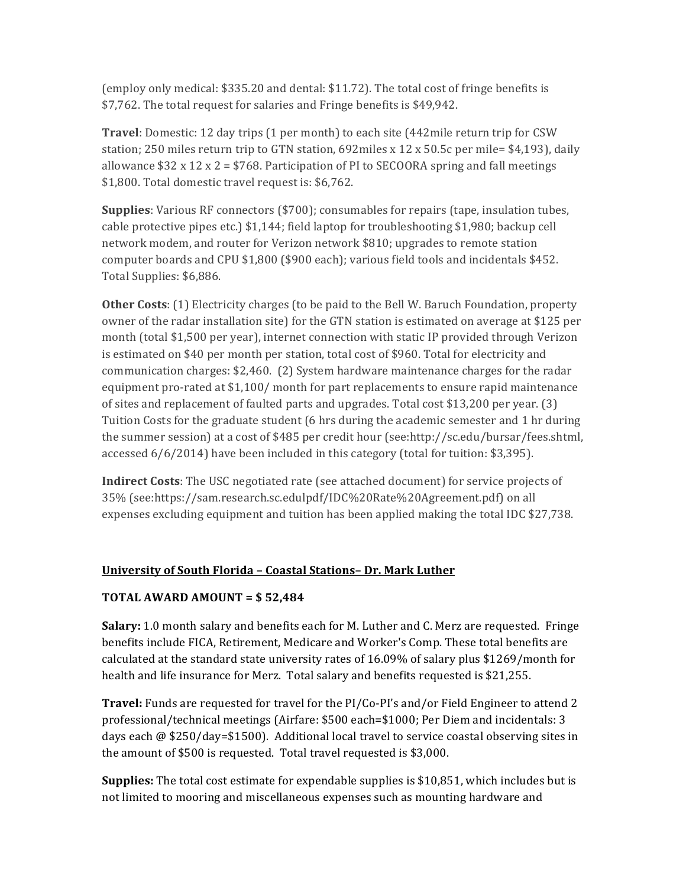(employ only medical:  $$335.20$  and dental:  $$11.72$ ). The total cost of fringe benefits is \$7,762. The total request for salaries and Fringe benefits is \$49,942.

**Travel**: Domestic: 12 day trips (1 per month) to each site (442mile return trip for CSW station; 250 miles return trip to GTN station, 692miles x 12 x 50.5c per mile=  $$4,193$ ), daily allowance  $$32 \times 12 \times 2 = $768$ . Participation of PI to SECOORA spring and fall meetings \$1,800. Total domestic travel request is: \$6,762.

**Supplies**: Various RF connectors (\$700); consumables for repairs (tape, insulation tubes, cable protective pipes etc.)  $$1,144$ ; field laptop for troubleshooting  $$1,980$ ; backup cell network modem, and router for Verizon network \$810; upgrades to remote station computer boards and CPU  $$1,800$  ( $$900$  each); various field tools and incidentals  $$452$ . Total Supplies: \$6,886.

**Other Costs**: (1) Electricity charges (to be paid to the Bell W. Baruch Foundation, property owner of the radar installation site) for the GTN station is estimated on average at \$125 per month (total \$1,500 per year), internet connection with static IP provided through Verizon is estimated on \$40 per month per station, total cost of \$960. Total for electricity and communication charges:  $$2,460.$  (2) System hardware maintenance charges for the radar equipment pro-rated at \$1,100/ month for part replacements to ensure rapid maintenance of sites and replacement of faulted parts and upgrades. Total cost  $$13,200$  per year. (3) Tuition Costs for the graduate student (6 hrs during the academic semester and 1 hr during the summer session) at a cost of \$485 per credit hour (see:http://sc.edu/bursar/fees.shtml, accessed  $6/6/2014$ ) have been included in this category (total for tuition: \$3,395).

**Indirect Costs**: The USC negotiated rate (see attached document) for service projects of 35% (see:https://sam.research.sc.edulpdf/IDC%20Rate%20Agreement.pdf) on all expenses excluding equipment and tuition has been applied making the total IDC \$27,738.

# **University of South Florida – Coastal Stations– Dr. Mark Luther**

## **TOTAL AWARD AMOUNT = \$ 52,484**

**Salary:** 1.0 month salary and benefits each for M. Luther and C. Merz are requested. Fringe benefits include FICA, Retirement, Medicare and Worker's Comp. These total benefits are calculated at the standard state university rates of  $16.09\%$  of salary plus \$1269/month for health and life insurance for Merz. Total salary and benefits requested is \$21,255.

**Travel:** Funds are requested for travel for the PI/Co-PI's and/or Field Engineer to attend 2 professional/technical meetings (Airfare: \$500 each=\$1000; Per Diem and incidentals: 3 days each  $\omega$  \$250/day=\$1500). Additional local travel to service coastal observing sites in the amount of  $$500$  is requested. Total travel requested is  $$3,000$ .

**Supplies:** The total cost estimate for expendable supplies is \$10,851, which includes but is not limited to mooring and miscellaneous expenses such as mounting hardware and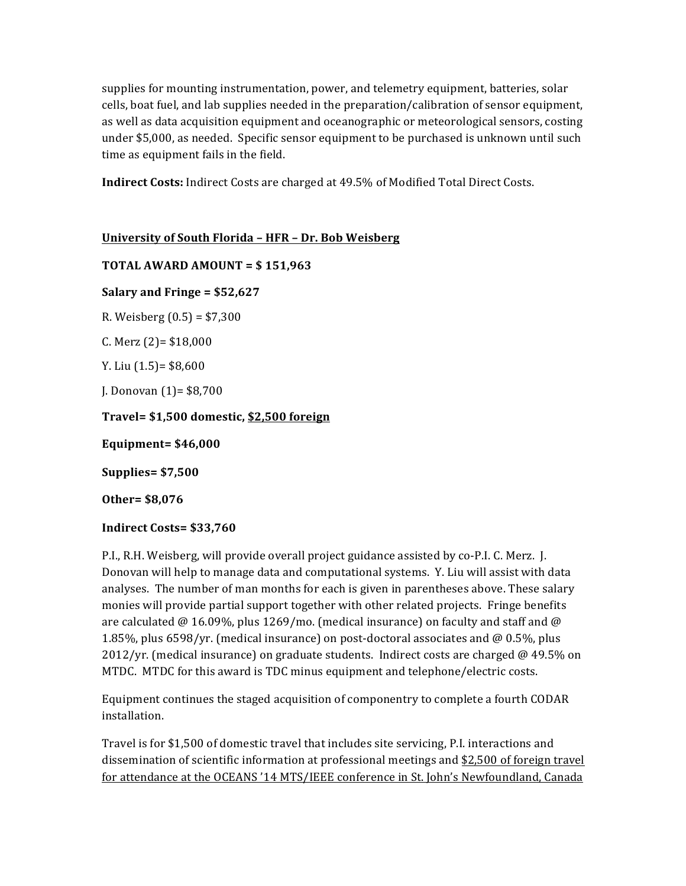supplies for mounting instrumentation, power, and telemetry equipment, batteries, solar cells, boat fuel, and lab supplies needed in the preparation/calibration of sensor equipment, as well as data acquisition equipment and oceanographic or meteorological sensors, costing under \$5,000, as needed. Specific sensor equipment to be purchased is unknown until such time as equipment fails in the field.

**Indirect Costs:** Indirect Costs are charged at 49.5% of Modified Total Direct Costs.

**University of South Florida – HFR – Dr. Bob Weisberg TOTAL AWARD AMOUNT = \$ 151,963 Salary and Fringe = \$52,627** R. Weisberg  $(0.5) = $7,300$ C. Merz  $(2)$ = \$18,000 Y. Liu  $(1.5)$ = \$8,600 J. Donovan  $(1)$ = \$8,700 **Travel= \$1,500 domestic, \$2,500 foreign Equipment= \$46,000 Supplies= \$7,500**

**Other= \$8,076**

# **Indirect Costs= \$33,760**

P.I., R.H. Weisberg, will provide overall project guidance assisted by co-P.I. C. Merz. J. Donovan will help to manage data and computational systems. Y. Liu will assist with data analyses. The number of man months for each is given in parentheses above. These salary monies will provide partial support together with other related projects. Fringe benefits are calculated @ 16.09%, plus 1269/mo. (medical insurance) on faculty and staff and @ 1.85%, plus  $6598/yr$ . (medical insurance) on post-doctoral associates and @ 0.5%, plus 2012/yr. (medical insurance) on graduate students. Indirect costs are charged  $\omega$  49.5% on MTDC. MTDC for this award is TDC minus equipment and telephone/electric costs.

Equipment continues the staged acquisition of componentry to complete a fourth CODAR installation. 

Travel is for \$1,500 of domestic travel that includes site servicing, P.I. interactions and dissemination of scientific information at professional meetings and  $$2,500$  of foreign travel for attendance at the OCEANS '14 MTS/IEEE conference in St. John's Newfoundland, Canada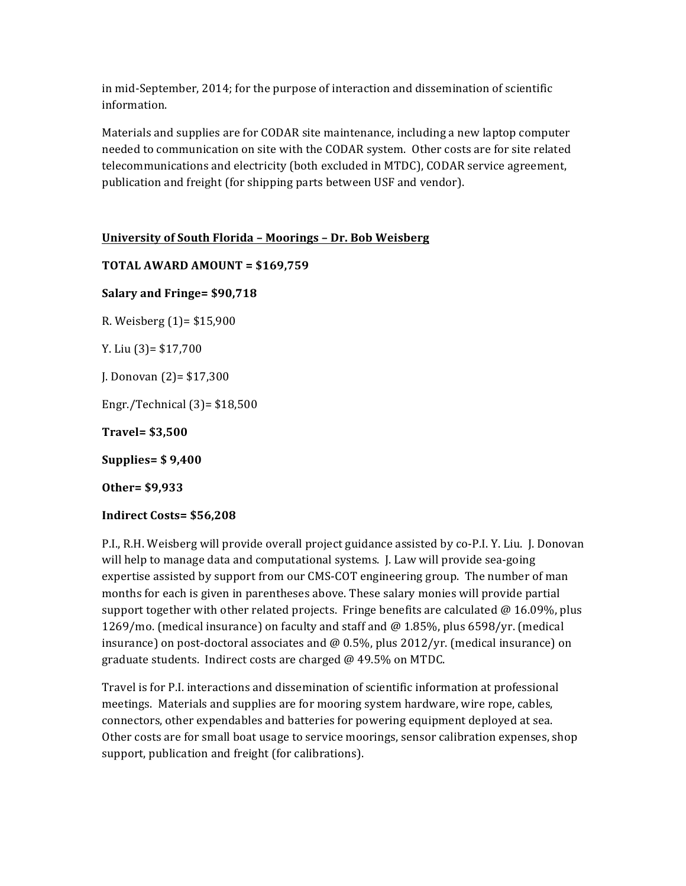in mid-September, 2014; for the purpose of interaction and dissemination of scientific information.

Materials and supplies are for CODAR site maintenance, including a new laptop computer needed to communication on site with the CODAR system. Other costs are for site related telecommunications and electricity (both excluded in MTDC), CODAR service agreement, publication and freight (for shipping parts between USF and vendor).

**University of South Florida – Moorings – Dr. Bob Weisberg**

**TOTAL AWARD AMOUNT = \$169,759 Salary and Fringe= \$90,718** R. Weisberg  $(1)$ = \$15,900 Y. Liu  $(3)$ = \$17,700 J. Donovan  $(2)$ = \$17,300 Engr./Technical $(3)$ = \$18,500 **Travel= \$3,500 Supplies= \$ 9,400 Other= \$9,933**

**Indirect Costs= \$56,208**

P.I., R.H. Weisberg will provide overall project guidance assisted by co-P.I. Y. Liu. J. Donovan will help to manage data and computational systems. J. Law will provide sea-going expertise assisted by support from our CMS-COT engineering group. The number of man months for each is given in parentheses above. These salary monies will provide partial support together with other related projects. Fringe benefits are calculated  $\omega$  16.09%, plus 1269/mo. (medical insurance) on faculty and staff and  $@$  1.85%, plus 6598/yr. (medical insurance) on post-doctoral associates and  $\omega$  0.5%, plus 2012/yr. (medical insurance) on graduate students. Indirect costs are charged  $@$  49.5% on MTDC.

Travel is for P.I. interactions and dissemination of scientific information at professional meetings. Materials and supplies are for mooring system hardware, wire rope, cables, connectors, other expendables and batteries for powering equipment deployed at sea. Other costs are for small boat usage to service moorings, sensor calibration expenses, shop support, publication and freight (for calibrations).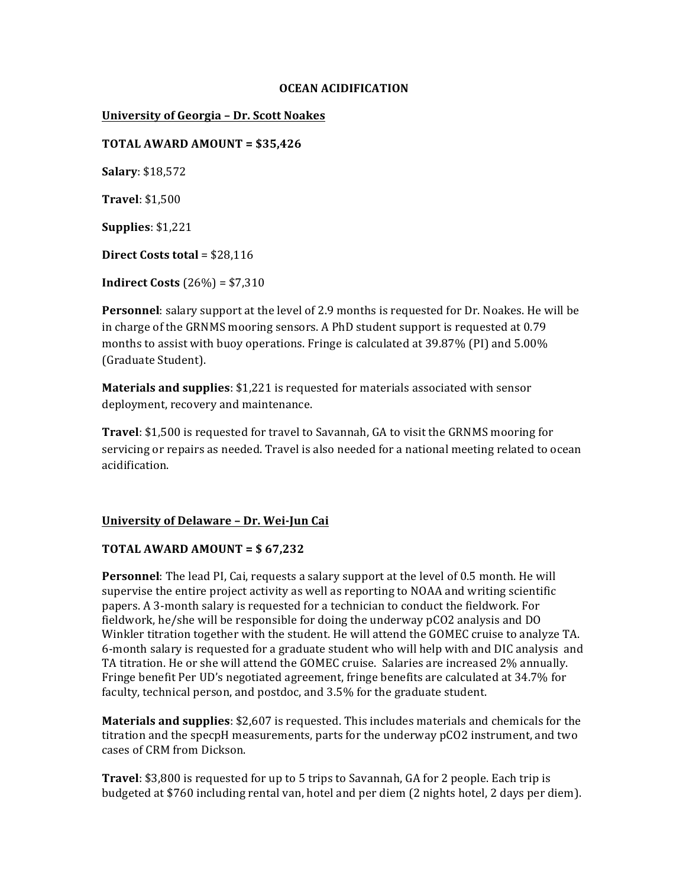### **OCEAN ACIDIFICATION**

## **University of Georgia - Dr. Scott Noakes**

**TOTAL AWARD AMOUNT = \$35,426** 

**Salary**: \$18,572

**Travel**: \$1,500

**Supplies**: \$1,221

**Direct Costs total** = \$28,116

**Indirect Costs**  $(26%) = $7,310$ 

**Personnel**: salary support at the level of 2.9 months is requested for Dr. Noakes. He will be in charge of the GRNMS mooring sensors. A PhD student support is requested at 0.79 months to assist with buoy operations. Fringe is calculated at  $39.87\%$  (PI) and  $5.00\%$ (Graduate Student).

**Materials and supplies**: \$1,221 is requested for materials associated with sensor deployment, recovery and maintenance.

**Travel**: \$1,500 is requested for travel to Savannah, GA to visit the GRNMS mooring for servicing or repairs as needed. Travel is also needed for a national meeting related to ocean acidification.

## **University of Delaware - Dr. Wei-Jun Cai**

## **TOTAL AWARD AMOUNT =**  $$67,232$

**Personnel**: The lead PI, Cai, requests a salary support at the level of 0.5 month. He will supervise the entire project activity as well as reporting to NOAA and writing scientific papers. A 3-month salary is requested for a technician to conduct the fieldwork. For fieldwork, he/she will be responsible for doing the underway  $pCO2$  analysis and DO Winkler titration together with the student. He will attend the GOMEC cruise to analyze TA. 6-month salary is requested for a graduate student who will help with and DIC analysis and TA titration. He or she will attend the GOMEC cruise. Salaries are increased 2% annually. Fringe benefit Per UD's negotiated agreement, fringe benefits are calculated at 34.7% for faculty, technical person, and postdoc, and 3.5% for the graduate student.

**Materials and supplies**: \$2,607 is requested. This includes materials and chemicals for the titration and the specpH measurements, parts for the underway pCO2 instrument, and two cases of CRM from Dickson.

**Travel**: \$3,800 is requested for up to 5 trips to Savannah, GA for 2 people. Each trip is budgeted at \$760 including rental van, hotel and per diem (2 nights hotel, 2 days per diem).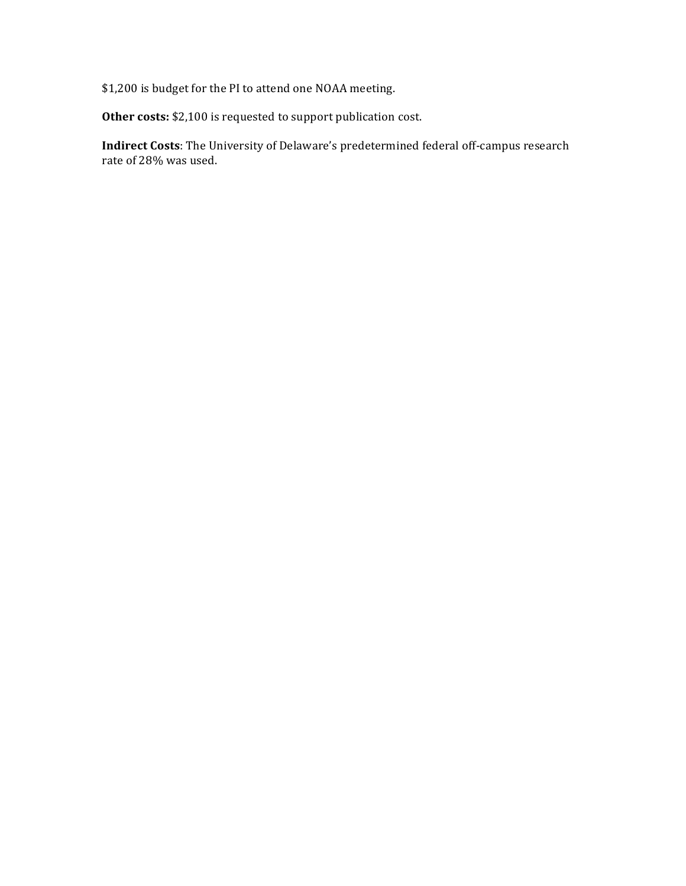\$1,200 is budget for the PI to attend one NOAA meeting.

Other costs: \$2,100 is requested to support publication cost.

**Indirect Costs**: The University of Delaware's predetermined federal off-campus research rate of 28% was used.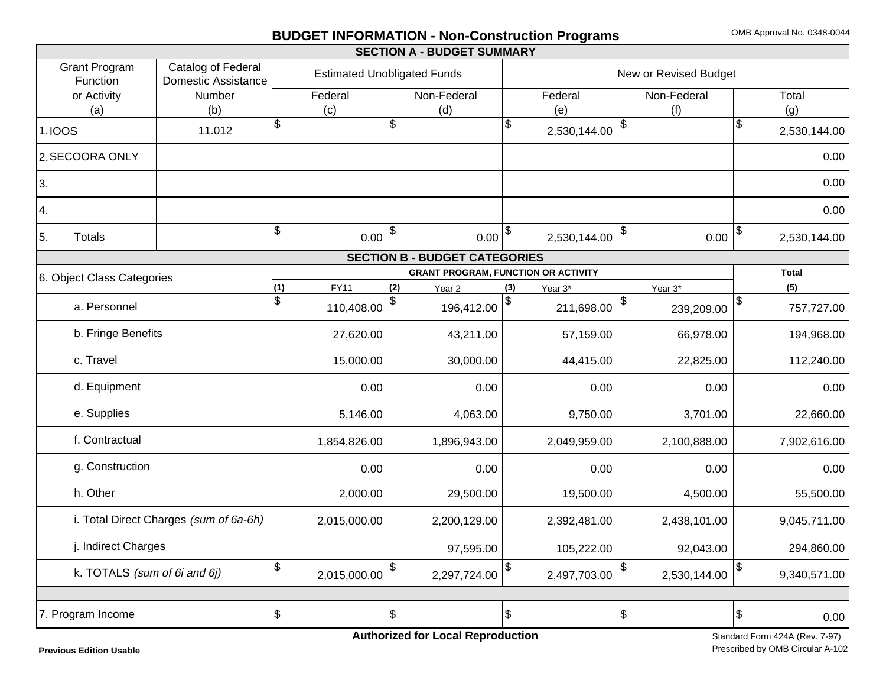# **BUDGET INFORMATION - Non-Construction Programs** OMB Approval No. 0348-0044

| <b>SECTION A - BUDGET SUMMARY</b>                                                    |        |                                    |              |                          |               |                       |                                            |                  |      |                       |              |
|--------------------------------------------------------------------------------------|--------|------------------------------------|--------------|--------------------------|---------------|-----------------------|--------------------------------------------|------------------|------|-----------------------|--------------|
| <b>Grant Program</b><br>Catalog of Federal<br><b>Domestic Assistance</b><br>Function |        | <b>Estimated Unobligated Funds</b> |              |                          |               | New or Revised Budget |                                            |                  |      |                       |              |
| or Activity                                                                          | Number |                                    | Federal      | Non-Federal              |               |                       | Federal                                    | Non-Federal      |      |                       | Total        |
| (a)                                                                                  | (b)    | (c)                                |              | (d)                      |               |                       | (e)                                        | (f)              |      |                       | (g)          |
| <b>1.IOOS</b>                                                                        | 11.012 | $\boldsymbol{\mathsf{S}}$          |              | \$                       |               | \$                    | 2,530,144.00                               |                  |      | \$                    | 2,530,144.00 |
| 2. SECOORA ONLY                                                                      |        |                                    |              |                          |               |                       |                                            |                  |      |                       | 0.00         |
| 3.                                                                                   |        |                                    |              |                          |               |                       |                                            |                  |      |                       | 0.00         |
| 4.                                                                                   |        |                                    |              |                          |               |                       |                                            |                  |      |                       | 0.00         |
| 5.<br><b>Totals</b>                                                                  |        | $\sqrt{3}$                         | $0.00  $ \$  |                          | $0.00$ $ $ \$ |                       | 2,530,144.00                               | \$               | 0.00 | $\boldsymbol{\theta}$ | 2,530,144.00 |
| <b>SECTION B - BUDGET CATEGORIES</b>                                                 |        |                                    |              |                          |               |                       |                                            |                  |      |                       |              |
| 6. Object Class Categories                                                           |        |                                    |              |                          |               |                       | <b>GRANT PROGRAM, FUNCTION OR ACTIVITY</b> |                  |      |                       | <b>Total</b> |
|                                                                                      |        | (1)                                | <b>FY11</b>  | (2)<br>Year <sub>2</sub> |               | (3)                   | Year 3*                                    | Year 3*          |      |                       | (5)          |
| a. Personnel                                                                         |        | $\mathfrak{S}$                     | 110,408.00   |                          | 196,412.00    | $\updownarrow$        | 211,698.00                                 | \$<br>239,209.00 |      | $\frac{3}{2}$         | 757,727.00   |
| b. Fringe Benefits                                                                   |        |                                    | 27,620.00    |                          | 43,211.00     |                       | 57,159.00                                  | 66,978.00        |      |                       | 194,968.00   |
| c. Travel                                                                            |        |                                    | 15,000.00    |                          | 30,000.00     |                       | 44,415.00                                  | 22,825.00        |      |                       | 112,240.00   |
| d. Equipment                                                                         |        |                                    | 0.00         |                          | 0.00          |                       | 0.00                                       |                  | 0.00 |                       | 0.00         |
| e. Supplies                                                                          |        |                                    | 5,146.00     |                          | 4,063.00      |                       | 9,750.00                                   | 3,701.00         |      |                       | 22,660.00    |
| f. Contractual                                                                       |        |                                    | 1,854,826.00 |                          | 1,896,943.00  |                       | 2,049,959.00                               | 2,100,888.00     |      |                       | 7,902,616.00 |
| g. Construction                                                                      |        |                                    | 0.00         |                          | 0.00          |                       | 0.00                                       |                  | 0.00 |                       | 0.00         |
| h. Other                                                                             |        |                                    | 2,000.00     |                          | 29,500.00     |                       | 19,500.00                                  | 4,500.00         |      |                       | 55,500.00    |
| i. Total Direct Charges (sum of 6a-6h)                                               |        |                                    | 2,015,000.00 |                          | 2,200,129.00  |                       | 2,392,481.00                               | 2,438,101.00     |      |                       | 9,045,711.00 |
| j. Indirect Charges                                                                  |        |                                    |              |                          | 97,595.00     |                       | 105,222.00                                 | 92,043.00        |      |                       | 294,860.00   |
| k. TOTALS (sum of 6i and 6j)                                                         |        | $\boldsymbol{\mathsf{S}}$          | 2,015,000.00 | \$                       | 2,297,724.00  | $\boldsymbol{\theta}$ | 2,497,703.00                               | 2,530,144.00     |      | $\sqrt{3}$            | 9,340,571.00 |
|                                                                                      |        |                                    |              |                          |               |                       |                                            |                  |      |                       |              |
| 7. Program Income                                                                    |        | $\sqrt{3}$                         |              | $\overline{\mathcal{S}}$ |               | \$                    |                                            | \$               |      | $\frac{3}{2}$         | 0.00         |